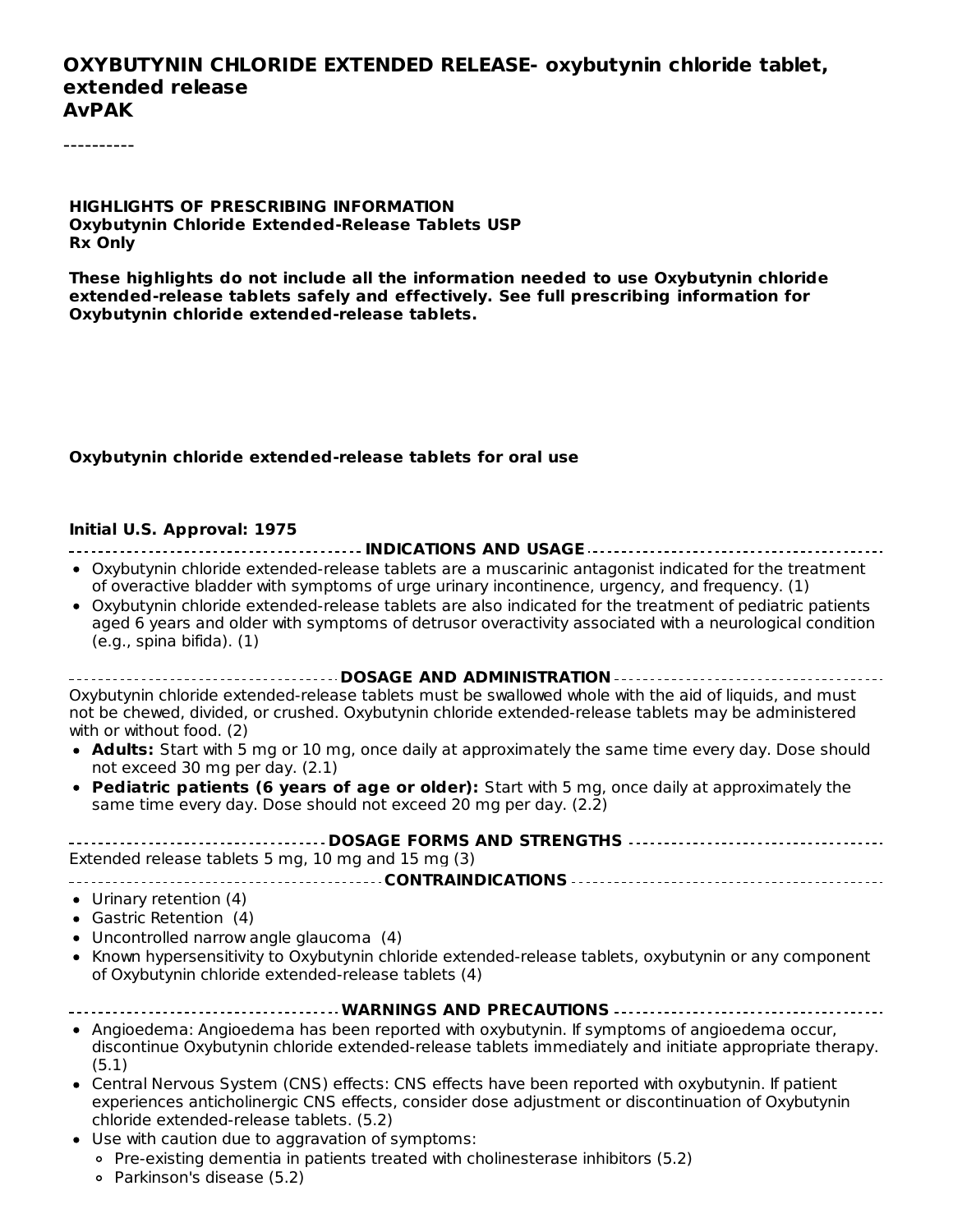#### **OXYBUTYNIN CHLORIDE EXTENDED RELEASE- oxybutynin chloride tablet, extended release AvPAK**

----------

#### **HIGHLIGHTS OF PRESCRIBING INFORMATION Oxybutynin Chloride Extended-Release Tablets USP Rx Only**

**These highlights do not include all the information needed to use Oxybutynin chloride extended-release tablets safely and effectively. See full prescribing information for Oxybutynin chloride extended-release tablets.**

#### **Oxybutynin chloride extended-release tablets for oral use**

#### **Initial U.S. Approval: 1975**

| • Oxybutynin chloride extended-release tablets are a muscarinic antagonist indicated for the treatment<br>of overactive bladder with symptoms of urge urinary incontinence, urgency, and frequency. (1)                                              |
|------------------------------------------------------------------------------------------------------------------------------------------------------------------------------------------------------------------------------------------------------|
| • Oxybutynin chloride extended-release tablets are also indicated for the treatment of pediatric patients<br>aged 6 years and older with symptoms of detrusor overactivity associated with a neurological condition<br>(e.g., spina bifida). (1)     |
| DOSAGE AND ADMINISTRATION                                                                                                                                                                                                                            |
| Oxybutynin chloride extended-release tablets must be swallowed whole with the aid of liquids, and must<br>not be chewed, divided, or crushed. Oxybutynin chloride extended-release tablets may be administered<br>with or without food. (2)          |
| • Adults: Start with 5 mg or 10 mg, once daily at approximately the same time every day. Dose should<br>not exceed 30 mg per day. (2.1)                                                                                                              |
| • Pediatric patients (6 years of age or older): Start with 5 mg, once daily at approximately the<br>same time every day. Dose should not exceed 20 mg per day. (2.2)                                                                                 |
|                                                                                                                                                                                                                                                      |
| Extended release tablets 5 mg, 10 mg and 15 mg (3)                                                                                                                                                                                                   |
|                                                                                                                                                                                                                                                      |
| • Urinary retention (4)                                                                                                                                                                                                                              |
| • Gastric Retention (4)                                                                                                                                                                                                                              |
| • Uncontrolled narrow angle glaucoma (4)                                                                                                                                                                                                             |
| • Known hypersensitivity to Oxybutynin chloride extended-release tablets, oxybutynin or any component<br>of Oxybutynin chloride extended-release tablets (4)                                                                                         |
| <b>WARNINGS AND PRECAUTIONS -</b>                                                                                                                                                                                                                    |
| • Angioedema: Angioedema has been reported with oxybutynin. If symptoms of angioedema occur,<br>discontinue Oxybutynin chloride extended-release tablets immediately and initiate appropriate therapy.<br>(5.1)                                      |
| • Central Nervous System (CNS) effects: CNS effects have been reported with oxybutynin. If patient<br>experiences anticholinergic CNS effects, consider dose adjustment or discontinuation of Oxybutynin<br>chloride extended-release tablets. (5.2) |

- Use with caution due to aggravation of symptoms:
	- Pre-existing dementia in patients treated with cholinesterase inhibitors (5.2)
	- Parkinson's disease (5.2)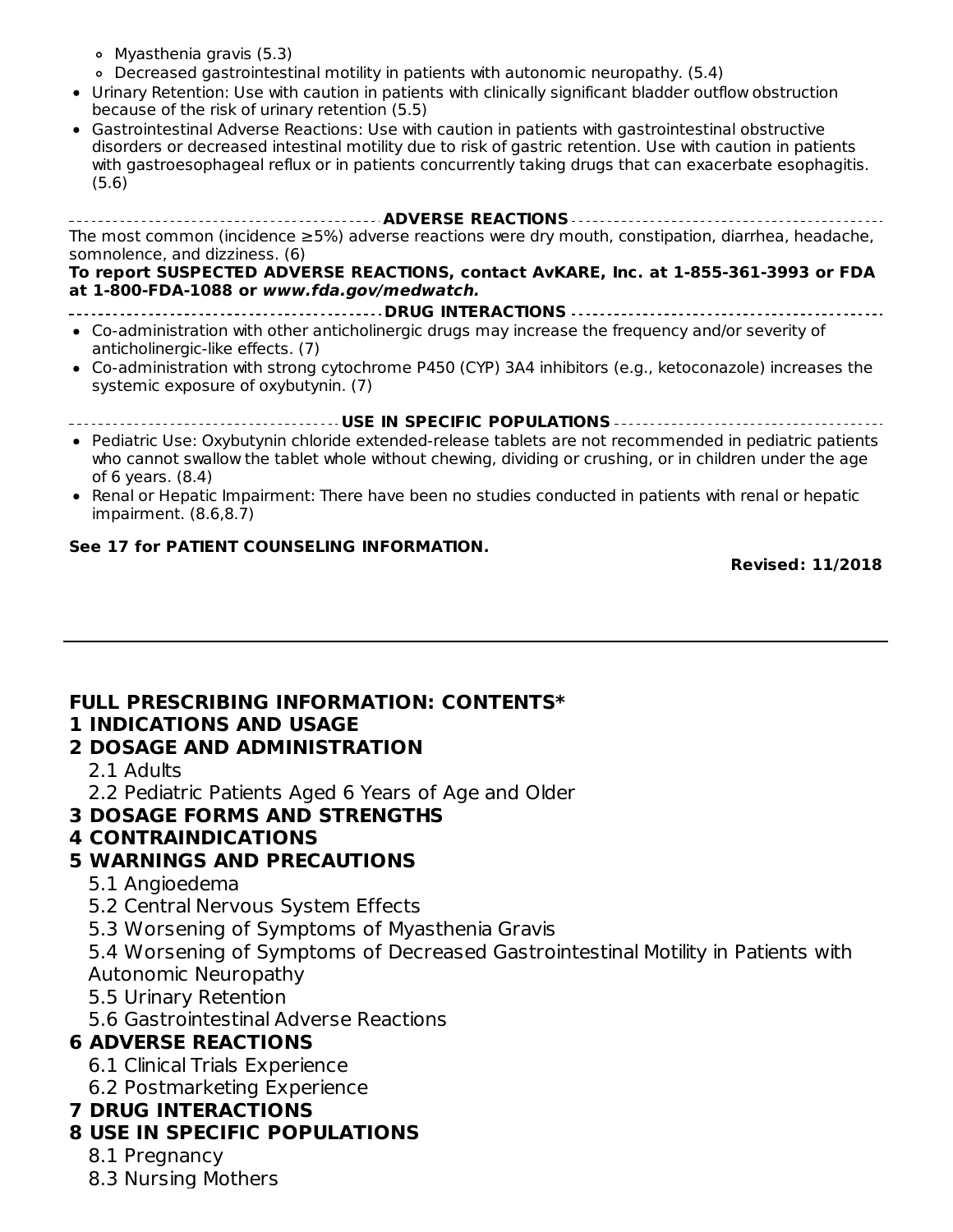- Myasthenia gravis (5.3)
- Decreased gastrointestinal motility in patients with autonomic neuropathy. (5.4)
- Urinary Retention: Use with caution in patients with clinically significant bladder outflow obstruction because of the risk of urinary retention (5.5)
- Gastrointestinal Adverse Reactions: Use with caution in patients with gastrointestinal obstructive disorders or decreased intestinal motility due to risk of gastric retention. Use with caution in patients with gastroesophageal reflux or in patients concurrently taking drugs that can exacerbate esophagitis. (5.6)

**ADVERSE REACTIONS** The most common (incidence ≥5%) adverse reactions were dry mouth, constipation, diarrhea, headache, somnolence, and dizziness. (6)

#### **To report SUSPECTED ADVERSE REACTIONS, contact AvKARE, Inc. at 1-855-361-3993 or FDA at 1-800-FDA-1088 or www.fda.gov/medwatch.**

- **DRUG INTERACTIONS** Co-administration with other anticholinergic drugs may increase the frequency and/or severity of anticholinergic-like effects. (7)
- Co-administration with strong cytochrome P450 (CYP) 3A4 inhibitors (e.g., ketoconazole) increases the systemic exposure of oxybutynin. (7)
	- **USE IN SPECIFIC POPULATIONS**
- Pediatric Use: Oxybutynin chloride extended-release tablets are not recommended in pediatric patients who cannot swallow the tablet whole without chewing, dividing or crushing, or in children under the age of 6 years. (8.4)
- Renal or Hepatic Impairment: There have been no studies conducted in patients with renal or hepatic impairment. (8.6,8.7)

#### **See 17 for PATIENT COUNSELING INFORMATION.**

**Revised: 11/2018**

# **FULL PRESCRIBING INFORMATION: CONTENTS\***

#### **1 INDICATIONS AND USAGE 2 DOSAGE AND ADMINISTRATION**

- 2.1 Adults
- 2.2 Pediatric Patients Aged 6 Years of Age and Older
- **3 DOSAGE FORMS AND STRENGTHS**

### **4 CONTRAINDICATIONS**

#### **5 WARNINGS AND PRECAUTIONS**

- 5.1 Angioedema
- 5.2 Central Nervous System Effects
- 5.3 Worsening of Symptoms of Myasthenia Gravis
- 5.4 Worsening of Symptoms of Decreased Gastrointestinal Motility in Patients with Autonomic Neuropathy
- 5.5 Urinary Retention
- 5.6 Gastrointestinal Adverse Reactions

#### **6 ADVERSE REACTIONS**

- 6.1 Clinical Trials Experience
- 6.2 Postmarketing Experience

#### **7 DRUG INTERACTIONS**

#### **8 USE IN SPECIFIC POPULATIONS**

- 8.1 Pregnancy
- 8.3 Nursing Mothers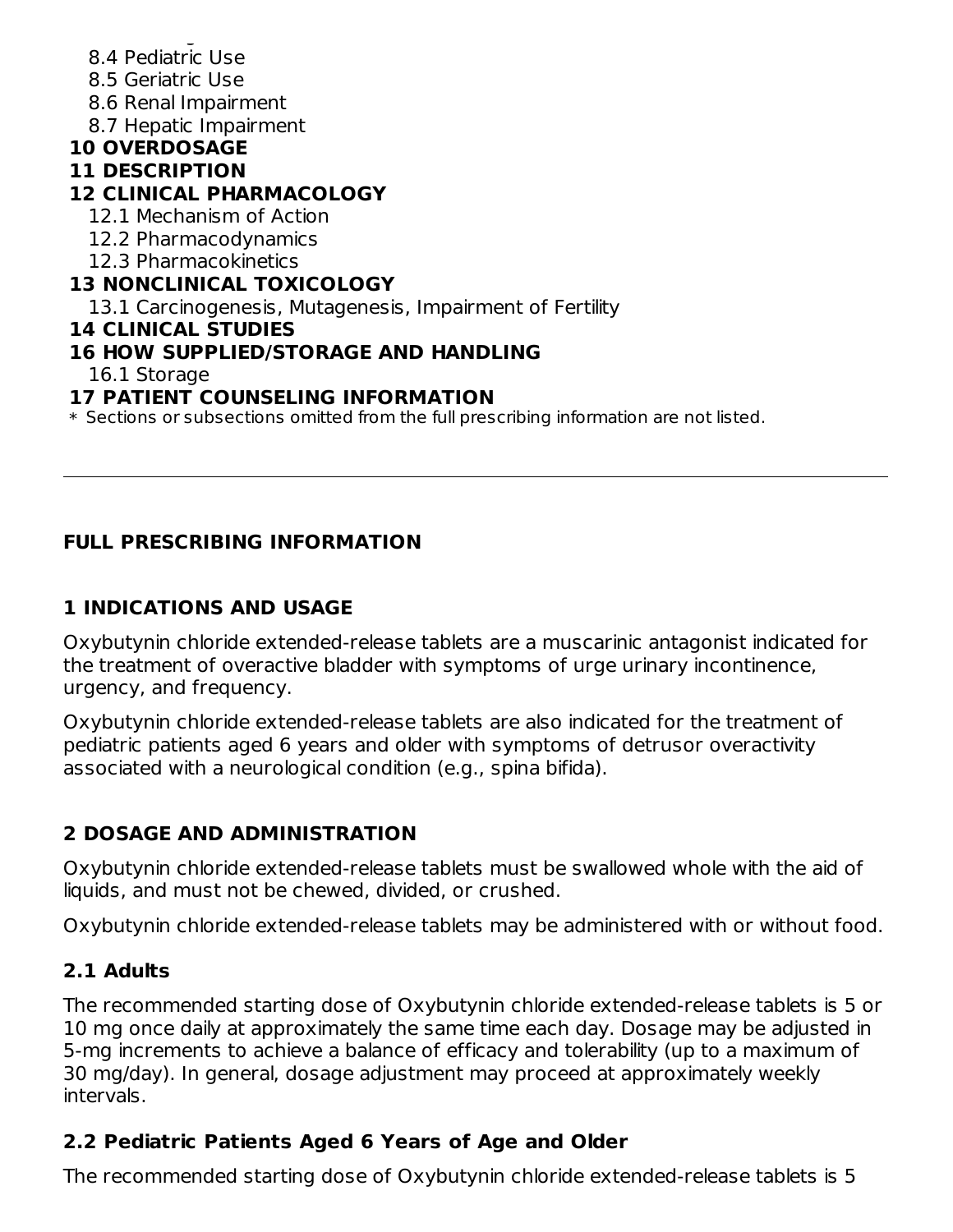- 8.3 Nursing Mothers 8.4 Pediatric Use
- 8.5 Geriatric Use
- 8.6 Renal Impairment
- 8.7 Hepatic Impairment

# **10 OVERDOSAGE**

### **11 DESCRIPTION**

## **12 CLINICAL PHARMACOLOGY**

- 12.1 Mechanism of Action
- 12.2 Pharmacodynamics
- 12.3 Pharmacokinetics

### **13 NONCLINICAL TOXICOLOGY**

13.1 Carcinogenesis, Mutagenesis, Impairment of Fertility

### **14 CLINICAL STUDIES**

### **16 HOW SUPPLIED/STORAGE AND HANDLING**

16.1 Storage

### **17 PATIENT COUNSELING INFORMATION**

 $\ast$  Sections or subsections omitted from the full prescribing information are not listed.

### **FULL PRESCRIBING INFORMATION**

### **1 INDICATIONS AND USAGE**

Oxybutynin chloride extended-release tablets are a muscarinic antagonist indicated for the treatment of overactive bladder with symptoms of urge urinary incontinence, urgency, and frequency.

Oxybutynin chloride extended-release tablets are also indicated for the treatment of pediatric patients aged 6 years and older with symptoms of detrusor overactivity associated with a neurological condition (e.g., spina bifida).

### **2 DOSAGE AND ADMINISTRATION**

Oxybutynin chloride extended-release tablets must be swallowed whole with the aid of liquids, and must not be chewed, divided, or crushed.

Oxybutynin chloride extended-release tablets may be administered with or without food.

### **2.1 Adults**

The recommended starting dose of Oxybutynin chloride extended-release tablets is 5 or 10 mg once daily at approximately the same time each day. Dosage may be adjusted in 5-mg increments to achieve a balance of efficacy and tolerability (up to a maximum of 30 mg/day). In general, dosage adjustment may proceed at approximately weekly intervals.

## **2.2 Pediatric Patients Aged 6 Years of Age and Older**

The recommended starting dose of Oxybutynin chloride extended-release tablets is 5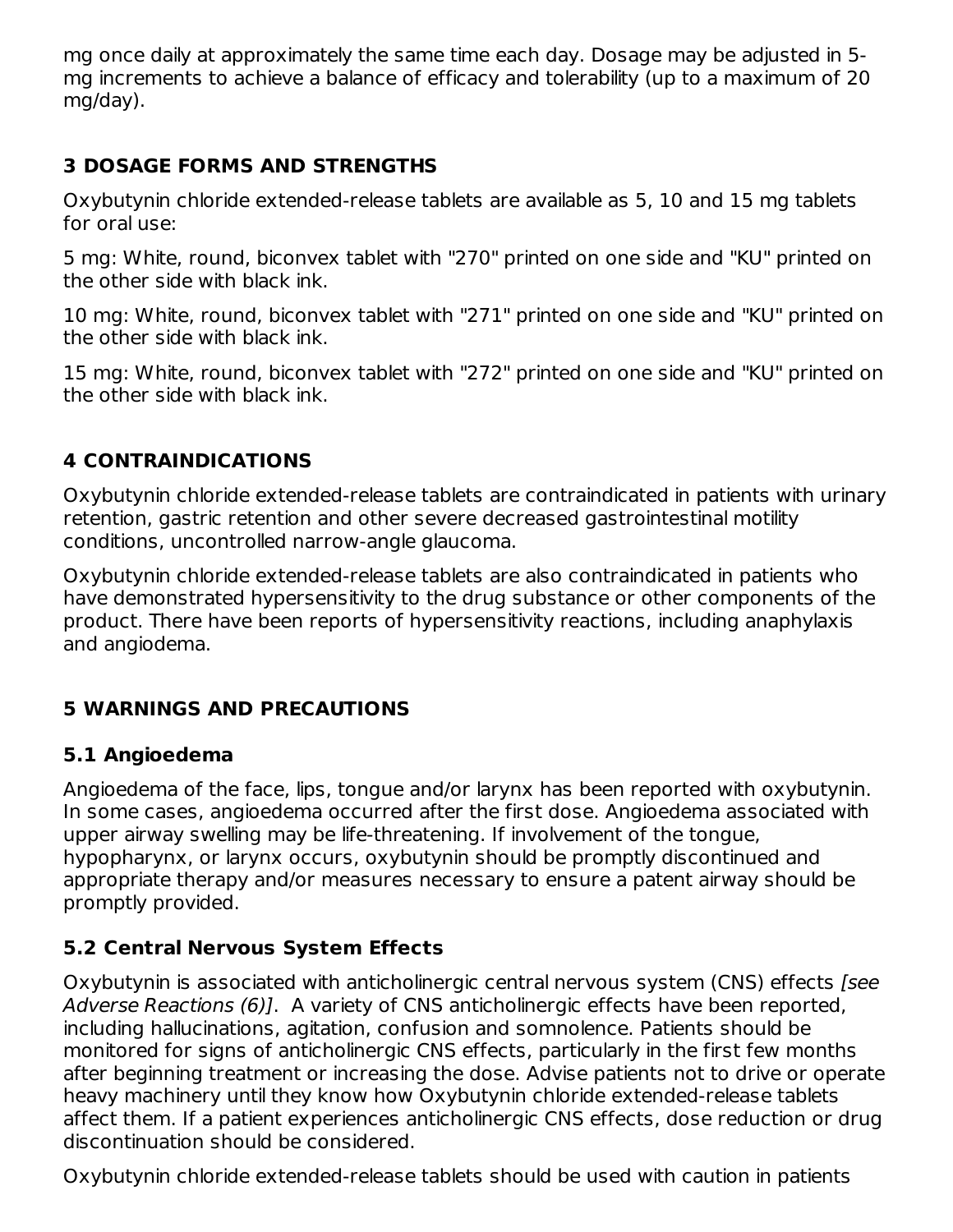mg once daily at approximately the same time each day. Dosage may be adjusted in 5 mg increments to achieve a balance of efficacy and tolerability (up to a maximum of 20 mg/day).

### **3 DOSAGE FORMS AND STRENGTHS**

Oxybutynin chloride extended-release tablets are available as 5, 10 and 15 mg tablets for oral use:

5 mg: White, round, biconvex tablet with "270" printed on one side and "KU" printed on the other side with black ink.

10 mg: White, round, biconvex tablet with "271" printed on one side and "KU" printed on the other side with black ink.

15 mg: White, round, biconvex tablet with "272" printed on one side and "KU" printed on the other side with black ink.

### **4 CONTRAINDICATIONS**

Oxybutynin chloride extended-release tablets are contraindicated in patients with urinary retention, gastric retention and other severe decreased gastrointestinal motility conditions, uncontrolled narrow-angle glaucoma.

Oxybutynin chloride extended-release tablets are also contraindicated in patients who have demonstrated hypersensitivity to the drug substance or other components of the product. There have been reports of hypersensitivity reactions, including anaphylaxis and angiodema.

### **5 WARNINGS AND PRECAUTIONS**

### **5.1 Angioedema**

Angioedema of the face, lips, tongue and/or larynx has been reported with oxybutynin. In some cases, angioedema occurred after the first dose. Angioedema associated with upper airway swelling may be life-threatening. If involvement of the tongue, hypopharynx, or larynx occurs, oxybutynin should be promptly discontinued and appropriate therapy and/or measures necessary to ensure a patent airway should be promptly provided.

### **5.2 Central Nervous System Effects**

Oxybutynin is associated with anticholinergic central nervous system (CNS) effects [see Adverse Reactions (6)]. A variety of CNS anticholinergic effects have been reported, including hallucinations, agitation, confusion and somnolence. Patients should be monitored for signs of anticholinergic CNS effects, particularly in the first few months after beginning treatment or increasing the dose. Advise patients not to drive or operate heavy machinery until they know how Oxybutynin chloride extended-release tablets affect them. If a patient experiences anticholinergic CNS effects, dose reduction or drug discontinuation should be considered.

Oxybutynin chloride extended-release tablets should be used with caution in patients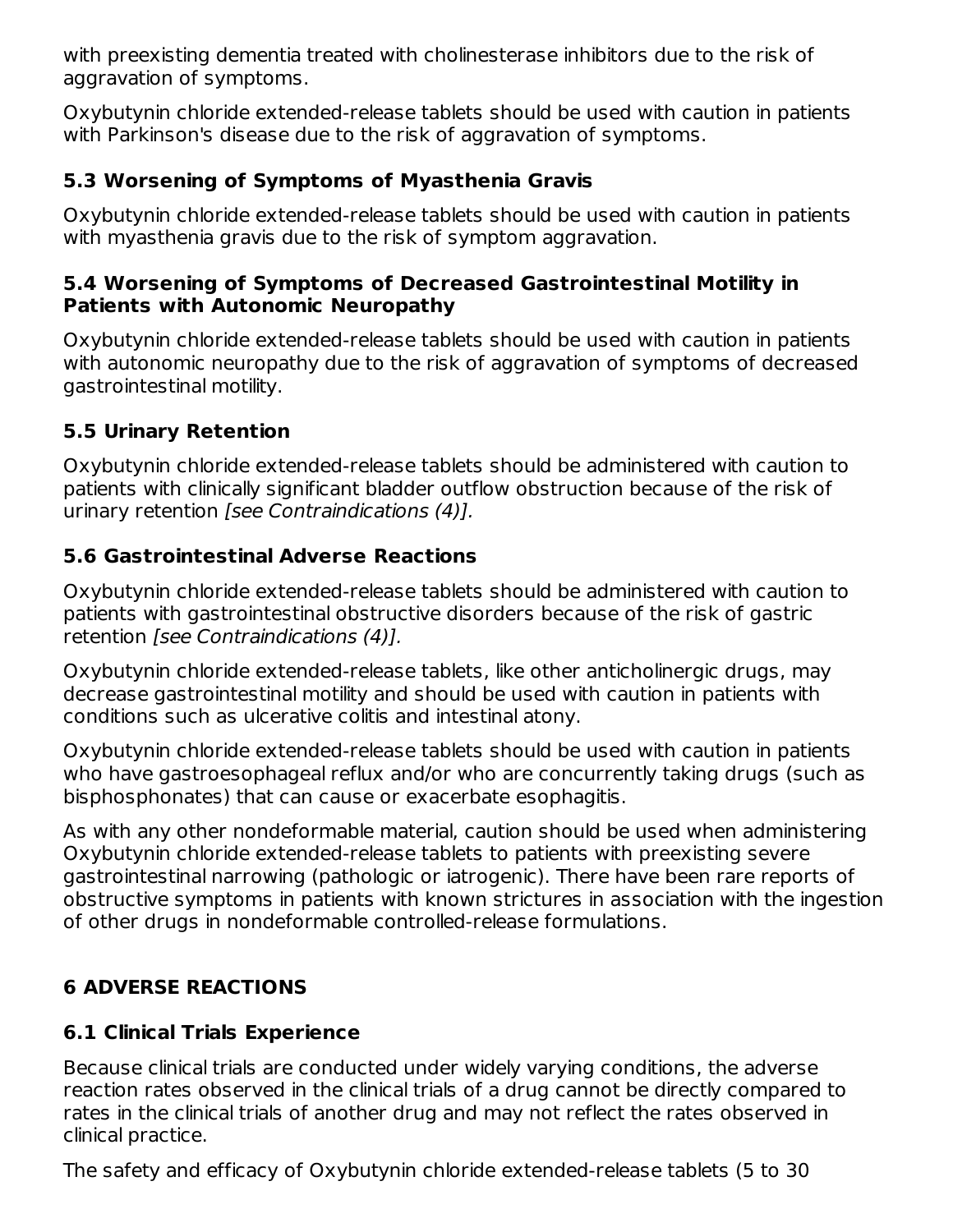with preexisting dementia treated with cholinesterase inhibitors due to the risk of aggravation of symptoms.

Oxybutynin chloride extended-release tablets should be used with caution in patients with Parkinson's disease due to the risk of aggravation of symptoms.

## **5.3 Worsening of Symptoms of Myasthenia Gravis**

Oxybutynin chloride extended-release tablets should be used with caution in patients with myasthenia gravis due to the risk of symptom aggravation.

#### **5.4 Worsening of Symptoms of Decreased Gastrointestinal Motility in Patients with Autonomic Neuropathy**

Oxybutynin chloride extended-release tablets should be used with caution in patients with autonomic neuropathy due to the risk of aggravation of symptoms of decreased gastrointestinal motility.

### **5.5 Urinary Retention**

Oxybutynin chloride extended-release tablets should be administered with caution to patients with clinically significant bladder outflow obstruction because of the risk of urinary retention [see Contraindications (4)].

### **5.6 Gastrointestinal Adverse Reactions**

Oxybutynin chloride extended-release tablets should be administered with caution to patients with gastrointestinal obstructive disorders because of the risk of gastric retention [see Contraindications (4)].

Oxybutynin chloride extended-release tablets, like other anticholinergic drugs, may decrease gastrointestinal motility and should be used with caution in patients with conditions such as ulcerative colitis and intestinal atony.

Oxybutynin chloride extended-release tablets should be used with caution in patients who have gastroesophageal reflux and/or who are concurrently taking drugs (such as bisphosphonates) that can cause or exacerbate esophagitis.

As with any other nondeformable material, caution should be used when administering Oxybutynin chloride extended-release tablets to patients with preexisting severe gastrointestinal narrowing (pathologic or iatrogenic). There have been rare reports of obstructive symptoms in patients with known strictures in association with the ingestion of other drugs in nondeformable controlled-release formulations.

## **6 ADVERSE REACTIONS**

# **6.1 Clinical Trials Experience**

Because clinical trials are conducted under widely varying conditions, the adverse reaction rates observed in the clinical trials of a drug cannot be directly compared to rates in the clinical trials of another drug and may not reflect the rates observed in clinical practice.

The safety and efficacy of Oxybutynin chloride extended-release tablets (5 to 30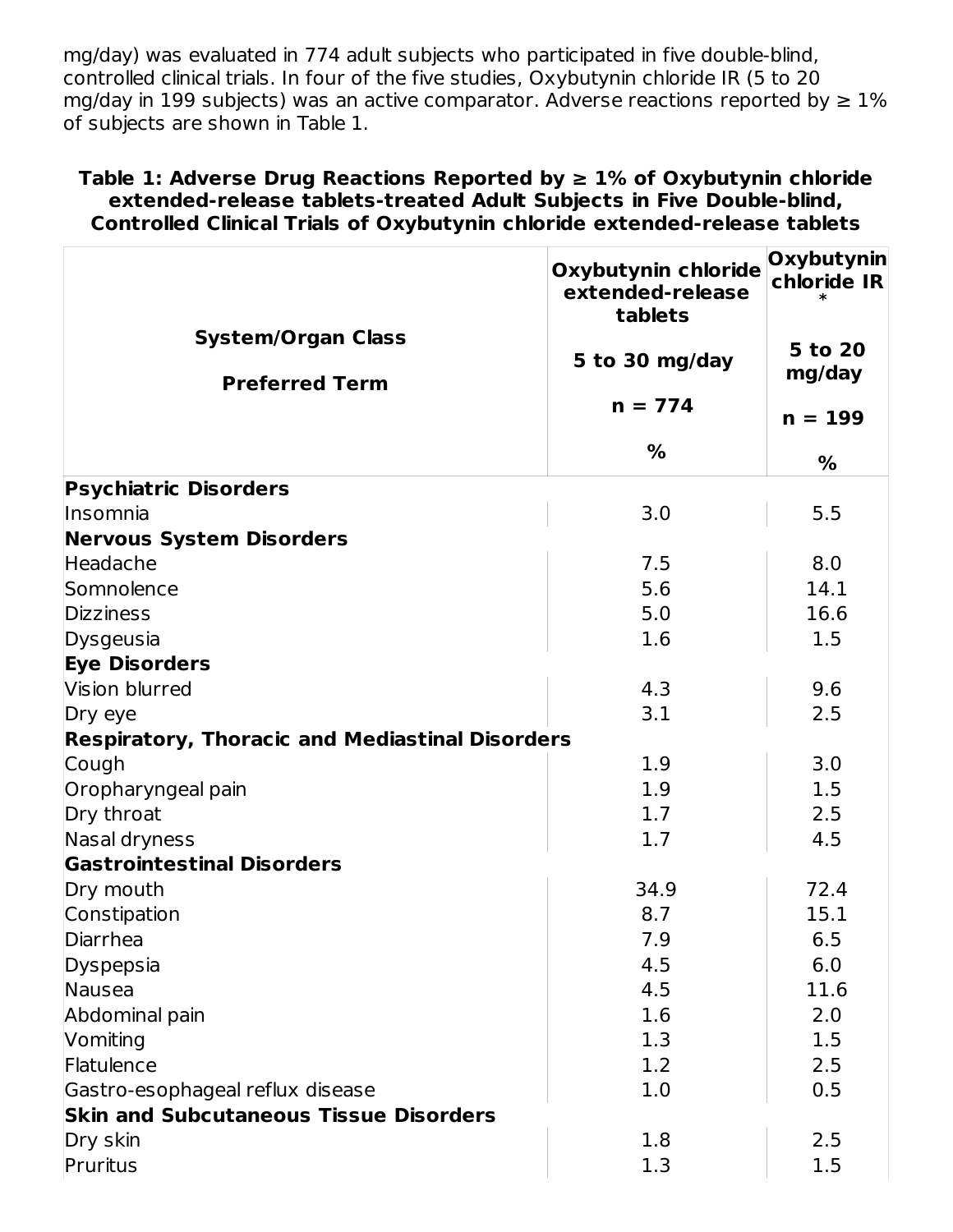mg/day) was evaluated in 774 adult subjects who participated in five double-blind, controlled clinical trials. In four of the five studies, Oxybutynin chloride IR (5 to 20 mg/day in 199 subjects) was an active comparator. Adverse reactions reported by  $\geq 1\%$ of subjects are shown in Table 1.

#### **Table 1: Adverse Drug Reactions Reported by ≥ 1% of Oxybutynin chloride extended-release tablets-treated Adult Subjects in Five Double-blind, Controlled Clinical Trials of Oxybutynin chloride extended-release tablets**

|                                                        | <b>Oxybutynin chloride</b><br>extended-release<br>tablets | Oxybutynin<br>chloride IR |
|--------------------------------------------------------|-----------------------------------------------------------|---------------------------|
| <b>System/Organ Class</b><br><b>Preferred Term</b>     | 5 to 30 mg/day                                            | 5 to 20<br>mg/day         |
|                                                        | $n = 774$                                                 | $n = 199$                 |
|                                                        | $\frac{9}{6}$                                             | $\frac{1}{2}$             |
| <b>Psychiatric Disorders</b>                           |                                                           |                           |
| Insomnia                                               | 3.0                                                       | 5.5                       |
| <b>Nervous System Disorders</b>                        |                                                           |                           |
| Headache                                               | 7.5                                                       | 8.0                       |
| Somnolence                                             | 5.6                                                       | 14.1                      |
| <b>Dizziness</b>                                       | 5.0                                                       | 16.6                      |
| Dysgeusia                                              | 1.6                                                       | 1.5                       |
| <b>Eye Disorders</b>                                   |                                                           |                           |
| Vision blurred                                         | 4.3                                                       | 9.6                       |
| Dry eye                                                | 3.1                                                       | 2.5                       |
| <b>Respiratory, Thoracic and Mediastinal Disorders</b> |                                                           |                           |
| Cough                                                  | 1.9                                                       | 3.0                       |
| Oropharyngeal pain                                     | 1.9                                                       | 1.5                       |
| Dry throat                                             | 1.7                                                       | 2.5                       |
| Nasal dryness                                          | 1.7                                                       | 4.5                       |
| <b>Gastrointestinal Disorders</b>                      |                                                           |                           |
| Dry mouth                                              | 34.9                                                      | 72.4                      |
| Constipation                                           | 8.7                                                       | 15.1                      |
| Diarrhea                                               | 7.9                                                       | 6.5                       |
| Dyspepsia                                              | 4.5                                                       | 6.0                       |
| Nausea                                                 | 4.5                                                       | 11.6                      |
| Abdominal pain                                         | 1.6                                                       | 2.0                       |
| Vomiting                                               | 1.3                                                       | 1.5                       |
| Flatulence                                             | 1.2                                                       | 2.5                       |
| Gastro-esophageal reflux disease                       | 1.0                                                       | 0.5                       |
| <b>Skin and Subcutaneous Tissue Disorders</b>          |                                                           |                           |
| Dry skin                                               | 1.8                                                       | 2.5                       |
| Pruritus                                               | 1.3                                                       | 1.5                       |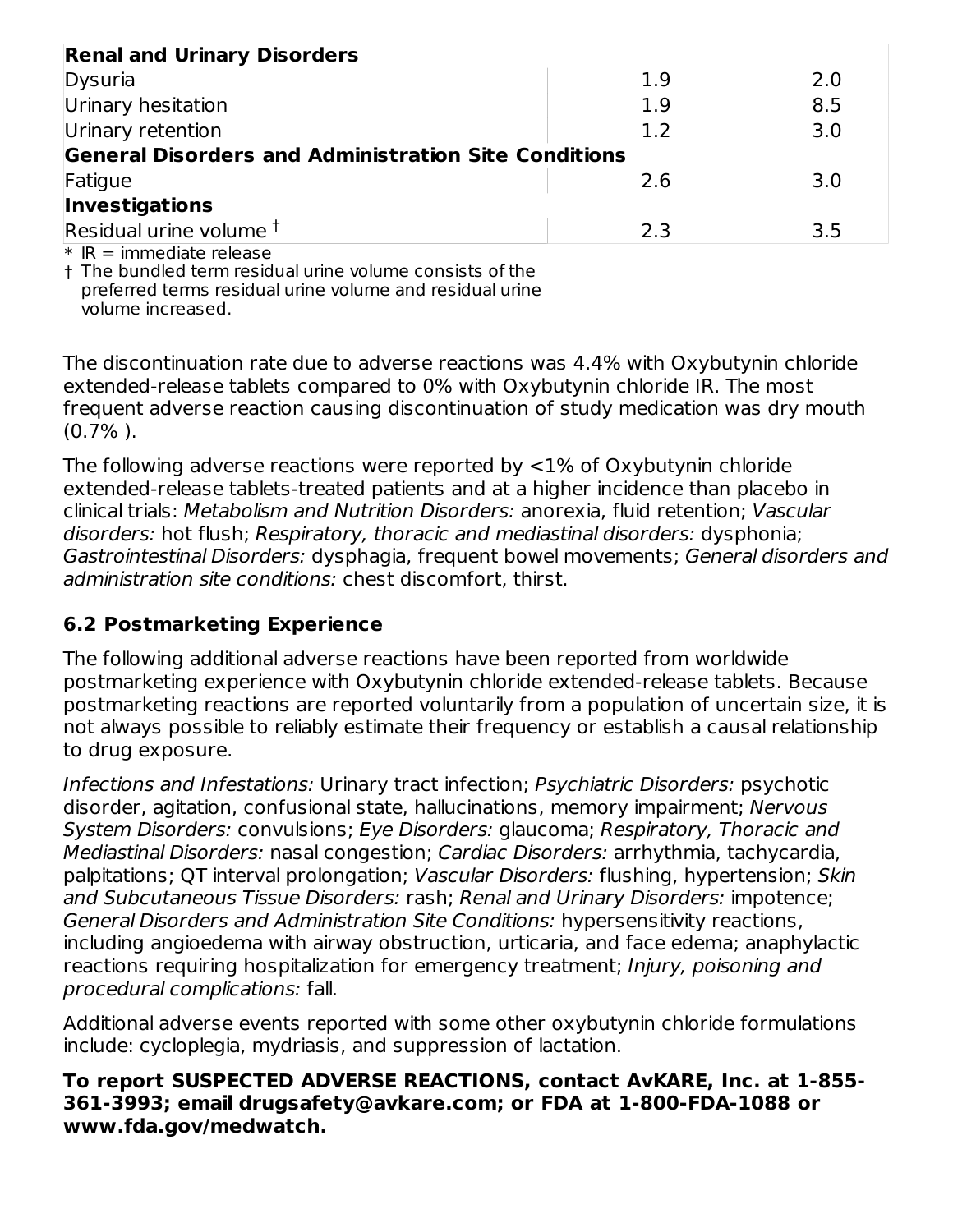| <b>Renal and Urinary Disorders</b>                          |     |     |  |  |  |
|-------------------------------------------------------------|-----|-----|--|--|--|
| Dysuria                                                     | 1.9 | 2.0 |  |  |  |
| Urinary hesitation                                          | 1.9 | 8.5 |  |  |  |
| Urinary retention                                           | 1.2 | 3.0 |  |  |  |
| <b>General Disorders and Administration Site Conditions</b> |     |     |  |  |  |
| Fatigue                                                     | 2.6 | 3.0 |  |  |  |
| Investigations                                              |     |     |  |  |  |
| Residual urine volume <sup>†</sup>                          | 2.3 | 3.5 |  |  |  |
| $*$ IR = immediate release                                  |     |     |  |  |  |

† The bundled term residual urine volume consists of the preferred terms residual urine volume and residual urine volume increased.

The discontinuation rate due to adverse reactions was 4.4% with Oxybutynin chloride extended-release tablets compared to 0% with Oxybutynin chloride IR. The most frequent adverse reaction causing discontinuation of study medication was dry mouth  $(0.7\%$ ).

The following adverse reactions were reported by <1% of Oxybutynin chloride extended-release tablets-treated patients and at a higher incidence than placebo in clinical trials: Metabolism and Nutrition Disorders: anorexia, fluid retention; Vascular disorders: hot flush; Respiratory, thoracic and mediastinal disorders: dysphonia; Gastrointestinal Disorders: dysphagia, frequent bowel movements; General disorders and administration site conditions: chest discomfort, thirst.

### **6.2 Postmarketing Experience**

The following additional adverse reactions have been reported from worldwide postmarketing experience with Oxybutynin chloride extended-release tablets. Because postmarketing reactions are reported voluntarily from a population of uncertain size, it is not always possible to reliably estimate their frequency or establish a causal relationship to drug exposure.

Infections and Infestations: Urinary tract infection; Psychiatric Disorders: psychotic disorder, agitation, confusional state, hallucinations, memory impairment; Nervous System Disorders: convulsions; Eye Disorders: glaucoma; Respiratory, Thoracic and Mediastinal Disorders: nasal congestion; Cardiac Disorders: arrhythmia, tachycardia, palpitations; QT interval prolongation; Vascular Disorders: flushing, hypertension; Skin and Subcutaneous Tissue Disorders: rash; Renal and Urinary Disorders: impotence; General Disorders and Administration Site Conditions: hypersensitivity reactions, including angioedema with airway obstruction, urticaria, and face edema; anaphylactic reactions requiring hospitalization for emergency treatment; Injury, poisoning and procedural complications: fall.

Additional adverse events reported with some other oxybutynin chloride formulations include: cycloplegia, mydriasis, and suppression of lactation.

#### **To report SUSPECTED ADVERSE REACTIONS, contact AvKARE, Inc. at 1-855- 361-3993; email drugsafety@avkare.com; or FDA at 1-800-FDA-1088 or www.fda.gov/medwatch.**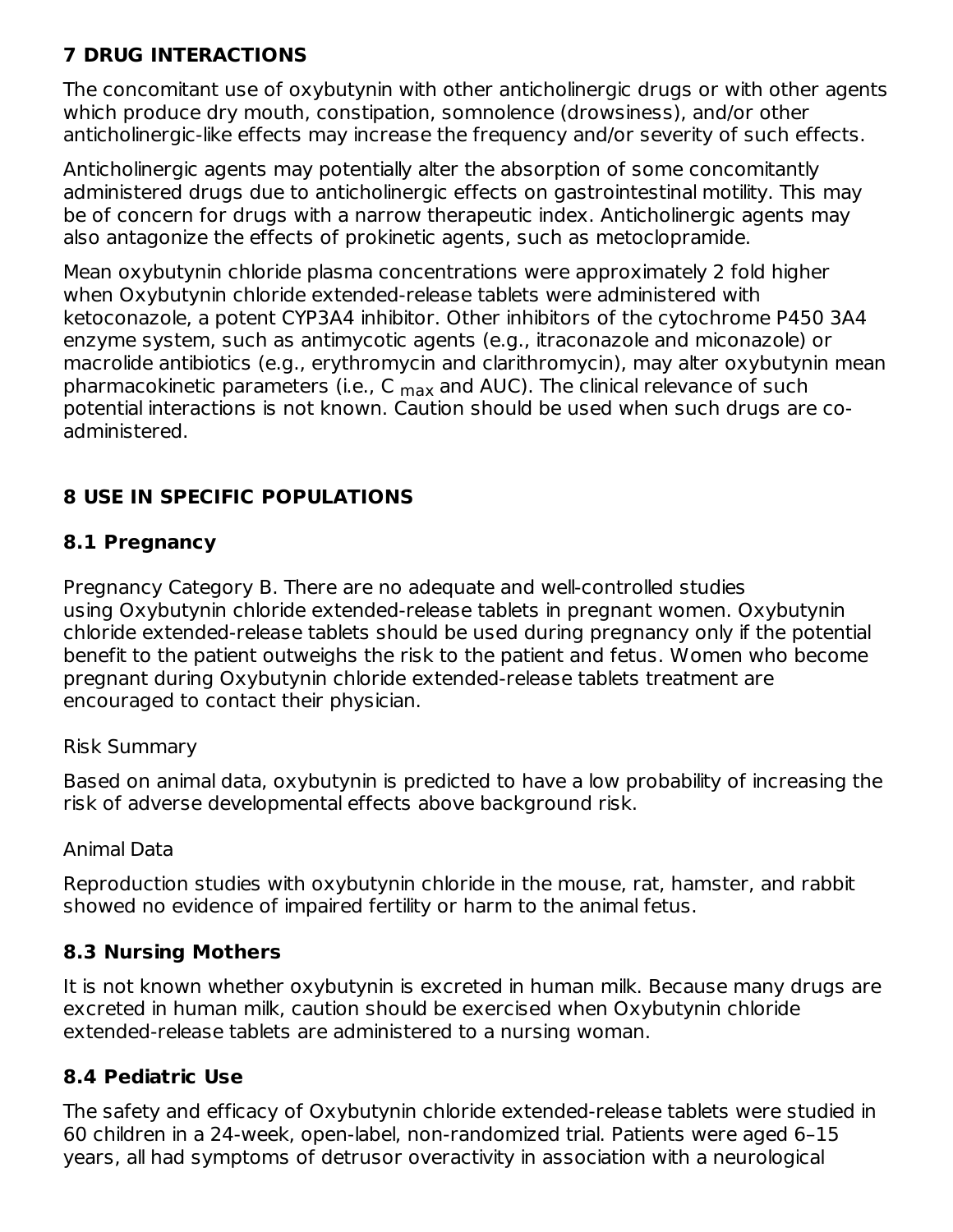### **7 DRUG INTERACTIONS**

The concomitant use of oxybutynin with other anticholinergic drugs or with other agents which produce dry mouth, constipation, somnolence (drowsiness), and/or other anticholinergic-like effects may increase the frequency and/or severity of such effects.

Anticholinergic agents may potentially alter the absorption of some concomitantly administered drugs due to anticholinergic effects on gastrointestinal motility. This may be of concern for drugs with a narrow therapeutic index. Anticholinergic agents may also antagonize the effects of prokinetic agents, such as metoclopramide.

Mean oxybutynin chloride plasma concentrations were approximately 2 fold higher when Oxybutynin chloride extended-release tablets were administered with ketoconazole, a potent CYP3A4 inhibitor. Other inhibitors of the cytochrome P450 3A4 enzyme system, such as antimycotic agents (e.g., itraconazole and miconazole) or macrolide antibiotics (e.g., erythromycin and clarithromycin), may alter oxybutynin mean pharmacokinetic parameters (i.e., C <sub>max</sub> and AUC). The clinical relevance of such potential interactions is not known. Caution should be used when such drugs are coadministered.

### **8 USE IN SPECIFIC POPULATIONS**

#### **8.1 Pregnancy**

Pregnancy Category B. There are no adequate and well-controlled studies using Oxybutynin chloride extended-release tablets in pregnant women. Oxybutynin chloride extended-release tablets should be used during pregnancy only if the potential benefit to the patient outweighs the risk to the patient and fetus. Women who become pregnant during Oxybutynin chloride extended-release tablets treatment are encouraged to contact their physician.

#### Risk Summary

Based on animal data, oxybutynin is predicted to have a low probability of increasing the risk of adverse developmental effects above background risk.

#### Animal Data

Reproduction studies with oxybutynin chloride in the mouse, rat, hamster, and rabbit showed no evidence of impaired fertility or harm to the animal fetus.

### **8.3 Nursing Mothers**

It is not known whether oxybutynin is excreted in human milk. Because many drugs are excreted in human milk, caution should be exercised when Oxybutynin chloride extended-release tablets are administered to a nursing woman.

### **8.4 Pediatric Use**

The safety and efficacy of Oxybutynin chloride extended-release tablets were studied in 60 children in a 24-week, open-label, non-randomized trial. Patients were aged 6–15 years, all had symptoms of detrusor overactivity in association with a neurological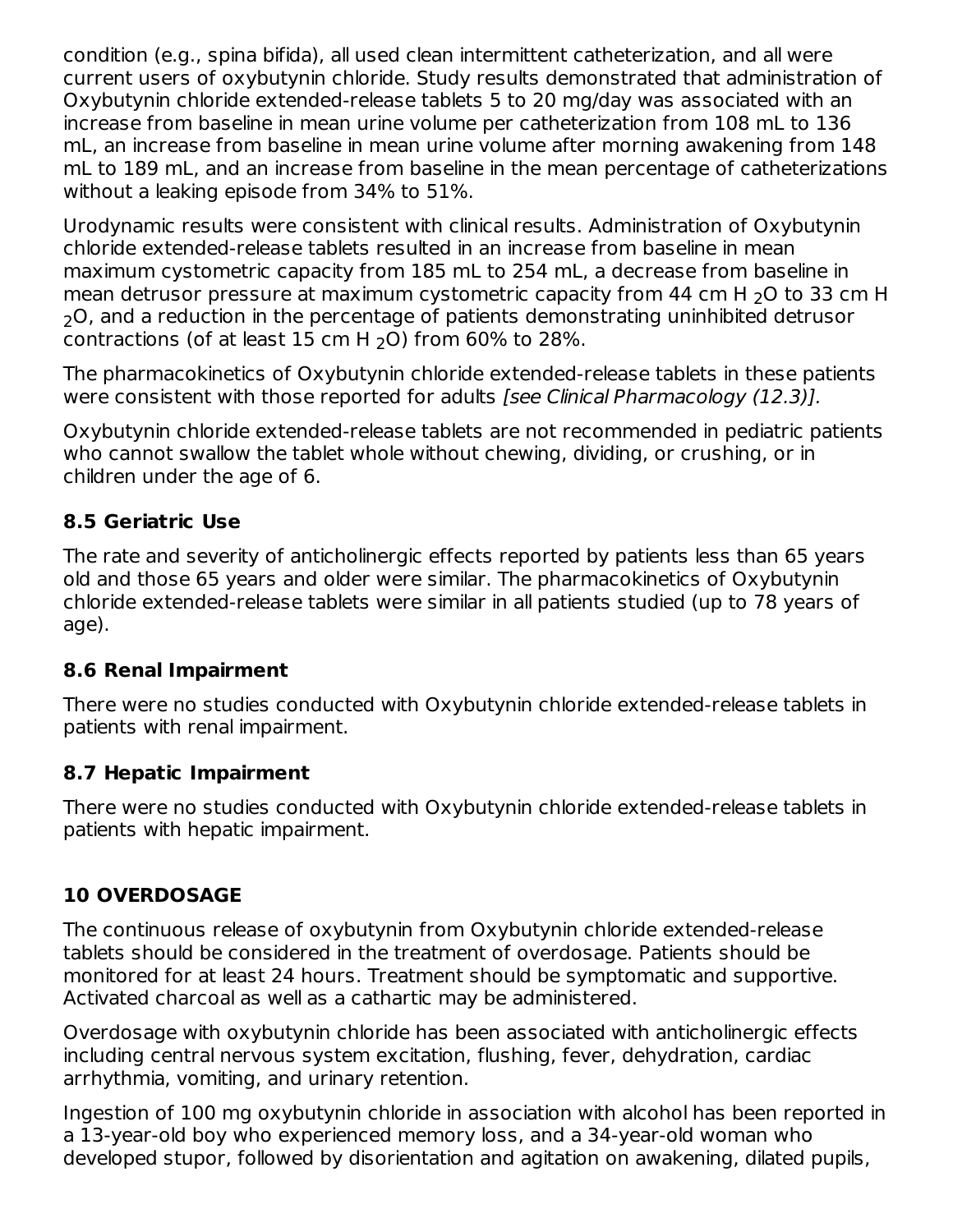condition (e.g., spina bifida), all used clean intermittent catheterization, and all were current users of oxybutynin chloride. Study results demonstrated that administration of Oxybutynin chloride extended-release tablets 5 to 20 mg/day was associated with an increase from baseline in mean urine volume per catheterization from 108 mL to 136 mL, an increase from baseline in mean urine volume after morning awakening from 148 mL to 189 mL, and an increase from baseline in the mean percentage of catheterizations without a leaking episode from 34% to 51%.

Urodynamic results were consistent with clinical results. Administration of Oxybutynin chloride extended-release tablets resulted in an increase from baseline in mean maximum cystometric capacity from 185 mL to 254 mL, a decrease from baseline in mean detrusor pressure at maximum cystometric capacity from 44 cm H  $_{2}$ O to 33 cm H  $_{\rm 2}$ O, and a reduction in the percentage of patients demonstrating uninhibited detrusor contractions (of at least  $15$  cm H  $_2$ O) from 60% to 28%.

The pharmacokinetics of Oxybutynin chloride extended-release tablets in these patients were consistent with those reported for adults [see Clinical Pharmacology (12.3)].

Oxybutynin chloride extended-release tablets are not recommended in pediatric patients who cannot swallow the tablet whole without chewing, dividing, or crushing, or in children under the age of 6.

### **8.5 Geriatric Use**

The rate and severity of anticholinergic effects reported by patients less than 65 years old and those 65 years and older were similar. The pharmacokinetics of Oxybutynin chloride extended-release tablets were similar in all patients studied (up to 78 years of age).

### **8.6 Renal Impairment**

There were no studies conducted with Oxybutynin chloride extended-release tablets in patients with renal impairment.

### **8.7 Hepatic Impairment**

There were no studies conducted with Oxybutynin chloride extended-release tablets in patients with hepatic impairment.

### **10 OVERDOSAGE**

The continuous release of oxybutynin from Oxybutynin chloride extended-release tablets should be considered in the treatment of overdosage. Patients should be monitored for at least 24 hours. Treatment should be symptomatic and supportive. Activated charcoal as well as a cathartic may be administered.

Overdosage with oxybutynin chloride has been associated with anticholinergic effects including central nervous system excitation, flushing, fever, dehydration, cardiac arrhythmia, vomiting, and urinary retention.

Ingestion of 100 mg oxybutynin chloride in association with alcohol has been reported in a 13-year-old boy who experienced memory loss, and a 34-year-old woman who developed stupor, followed by disorientation and agitation on awakening, dilated pupils,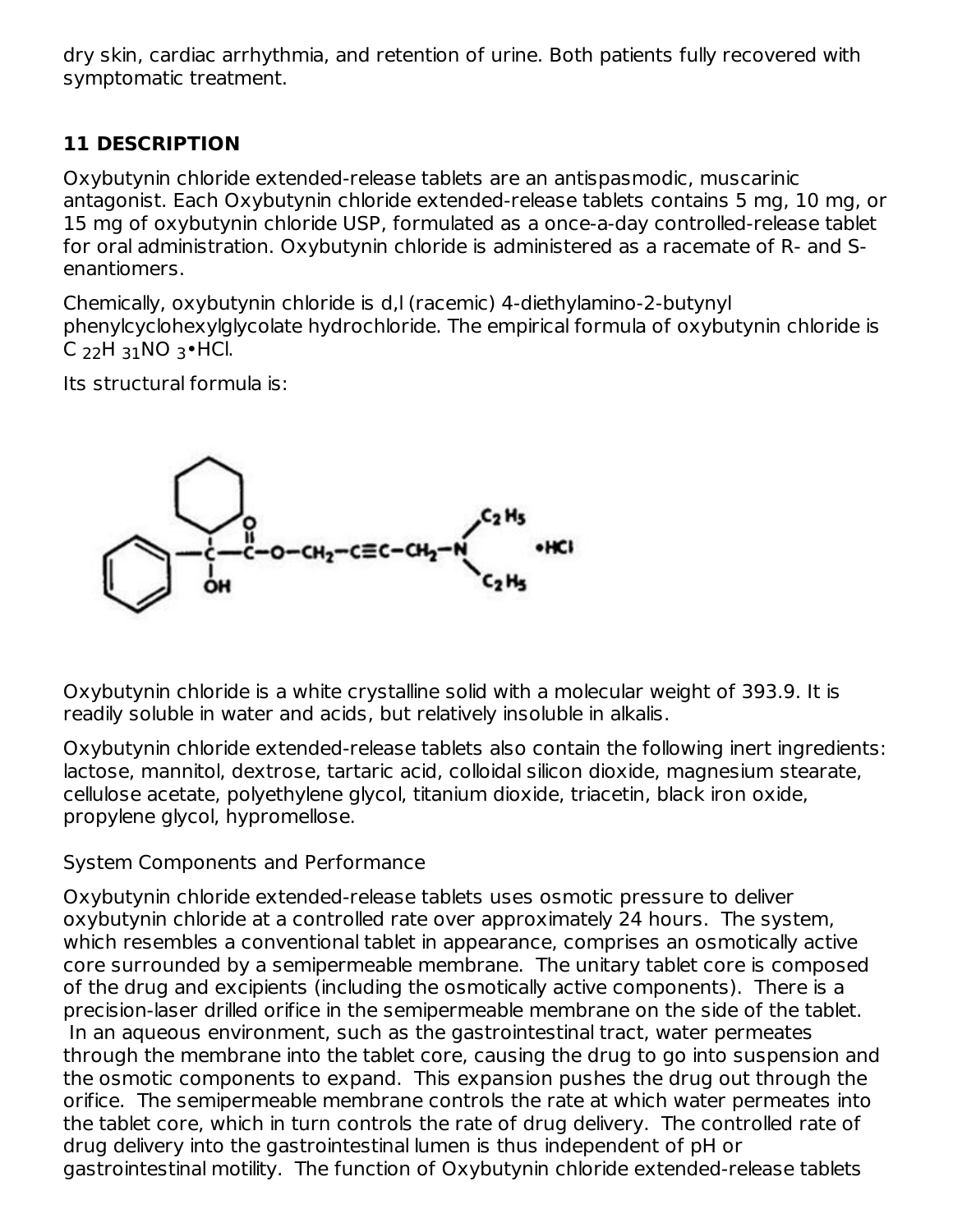dry skin, cardiac arrhythmia, and retention of urine. Both patients fully recovered with symptomatic treatment.

## **11 DESCRIPTION**

Oxybutynin chloride extended-release tablets are an antispasmodic, muscarinic antagonist. Each Oxybutynin chloride extended-release tablets contains 5 mg, 10 mg, or 15 mg of oxybutynin chloride USP, formulated as a once-a-day controlled-release tablet for oral administration. Oxybutynin chloride is administered as a racemate of R- and Senantiomers.

Chemically, oxybutynin chloride is d,l (racemic) 4-diethylamino-2-butynyl phenylcyclohexylglycolate hydrochloride. The empirical formula of oxybutynin chloride is C  $_{22}$ H  $_{31}$ NO  $_{3}$ •HCl.

Its structural formula is:



Oxybutynin chloride is a white crystalline solid with a molecular weight of 393.9. It is readily soluble in water and acids, but relatively insoluble in alkalis.

Oxybutynin chloride extended-release tablets also contain the following inert ingredients: lactose, mannitol, dextrose, tartaric acid, colloidal silicon dioxide, magnesium stearate, cellulose acetate, polyethylene glycol, titanium dioxide, triacetin, black iron oxide, propylene glycol, hypromellose.

System Components and Performance

Oxybutynin chloride extended-release tablets uses osmotic pressure to deliver oxybutynin chloride at a controlled rate over approximately 24 hours. The system, which resembles a conventional tablet in appearance, comprises an osmotically active core surrounded by a semipermeable membrane. The unitary tablet core is composed of the drug and excipients (including the osmotically active components). There is a precision-laser drilled orifice in the semipermeable membrane on the side of the tablet. In an aqueous environment, such as the gastrointestinal tract, water permeates through the membrane into the tablet core, causing the drug to go into suspension and the osmotic components to expand. This expansion pushes the drug out through the orifice. The semipermeable membrane controls the rate at which water permeates into the tablet core, which in turn controls the rate of drug delivery. The controlled rate of drug delivery into the gastrointestinal lumen is thus independent of pH or gastrointestinal motility. The function of Oxybutynin chloride extended-release tablets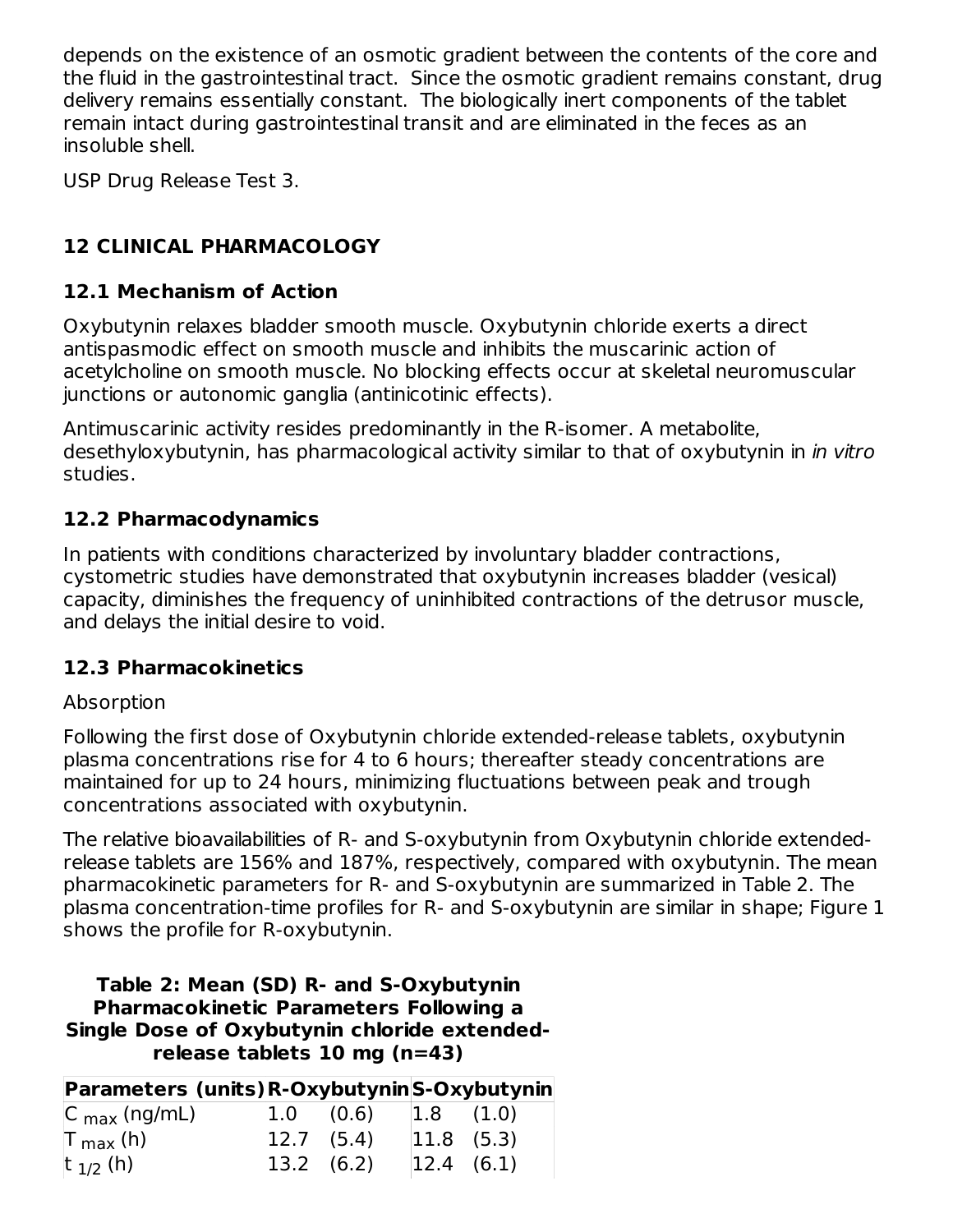depends on the existence of an osmotic gradient between the contents of the core and the fluid in the gastrointestinal tract. Since the osmotic gradient remains constant, drug delivery remains essentially constant. The biologically inert components of the tablet remain intact during gastrointestinal transit and are eliminated in the feces as an insoluble shell.

USP Drug Release Test 3.

## **12 CLINICAL PHARMACOLOGY**

#### **12.1 Mechanism of Action**

Oxybutynin relaxes bladder smooth muscle. Oxybutynin chloride exerts a direct antispasmodic effect on smooth muscle and inhibits the muscarinic action of acetylcholine on smooth muscle. No blocking effects occur at skeletal neuromuscular junctions or autonomic ganglia (antinicotinic effects).

Antimuscarinic activity resides predominantly in the R-isomer. A metabolite, desethyloxybutynin, has pharmacological activity similar to that of oxybutynin in *in vitro* studies.

#### **12.2 Pharmacodynamics**

In patients with conditions characterized by involuntary bladder contractions, cystometric studies have demonstrated that oxybutynin increases bladder (vesical) capacity, diminishes the frequency of uninhibited contractions of the detrusor muscle, and delays the initial desire to void.

#### **12.3 Pharmacokinetics**

#### Absorption

Following the first dose of Oxybutynin chloride extended-release tablets, oxybutynin plasma concentrations rise for 4 to 6 hours; thereafter steady concentrations are maintained for up to 24 hours, minimizing fluctuations between peak and trough concentrations associated with oxybutynin.

The relative bioavailabilities of R- and S-oxybutynin from Oxybutynin chloride extendedrelease tablets are 156% and 187%, respectively, compared with oxybutynin. The mean pharmacokinetic parameters for R- and S-oxybutynin are summarized in Table 2. The plasma concentration-time profiles for R- and S-oxybutynin are similar in shape; Figure 1 shows the profile for R-oxybutynin.

#### **Table 2: Mean (SD) R- and S-Oxybutynin Pharmacokinetic Parameters Following a Single Dose of Oxybutynin chloride extendedrelease tablets 10 mg (n=43)**

| Parameters (units) R-Oxybutynin S-Oxybutynin |                    |                  |  |
|----------------------------------------------|--------------------|------------------|--|
| $ C_{\text{max}}(ng/mL) $                    | $1.0 \quad (0.6)$  | $ 1.8 \t(1.0) $  |  |
| $\vert$ T <sub>max</sub> (h)                 | $12.7$ $(5.4)$     | $ 11.8 \t(5.3) $ |  |
| $ t_{1/2}(h) $                               | $13.2 \quad (6.2)$ | $ 12.4 \t(6.1) $ |  |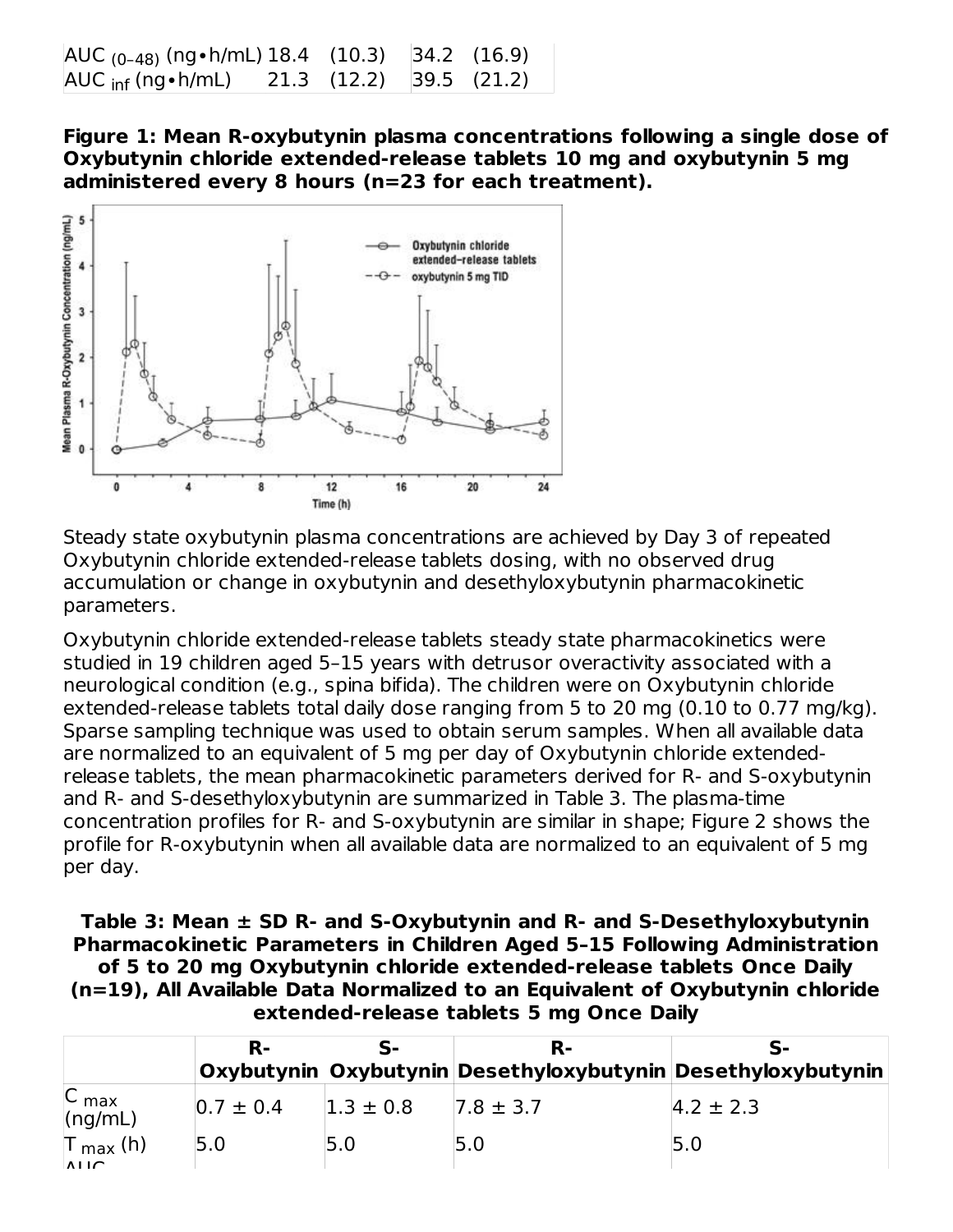| $AUC_{(0-48)}$ (ng • h/mL) 18.4 (10.3) 34.2 (16.9)    |                         |  |
|-------------------------------------------------------|-------------------------|--|
| $\overline{\mathsf{AUC}}$ $_{\mathsf{inf}}$ (ng•h/mL) | 21.3 (12.2) 39.5 (21.2) |  |

**Figure 1: Mean R-oxybutynin plasma concentrations following a single dose of Oxybutynin chloride extended-release tablets 10 mg and oxybutynin 5 mg administered every 8 hours (n=23 for each treatment).**



Steady state oxybutynin plasma concentrations are achieved by Day 3 of repeated Oxybutynin chloride extended-release tablets dosing, with no observed drug accumulation or change in oxybutynin and desethyloxybutynin pharmacokinetic parameters.

Oxybutynin chloride extended-release tablets steady state pharmacokinetics were studied in 19 children aged 5–15 years with detrusor overactivity associated with a neurological condition (e.g., spina bifida). The children were on Oxybutynin chloride extended-release tablets total daily dose ranging from 5 to 20 mg (0.10 to 0.77 mg/kg). Sparse sampling technique was used to obtain serum samples. When all available data are normalized to an equivalent of 5 mg per day of Oxybutynin chloride extendedrelease tablets, the mean pharmacokinetic parameters derived for R- and S-oxybutynin and R- and S-desethyloxybutynin are summarized in Table 3. The plasma-time concentration profiles for R- and S-oxybutynin are similar in shape; Figure 2 shows the profile for R-oxybutynin when all available data are normalized to an equivalent of 5 mg per day.

**Table 3: Mean ± SD R- and S-Oxybutynin and R- and S-Desethyloxybutynin Pharmacokinetic Parameters in Children Aged 5–15 Following Administration of 5 to 20 mg Oxybutynin chloride extended-release tablets Once Daily (n=19), All Available Data Normalized to an Equivalent of Oxybutynin chloride extended-release tablets 5 mg Once Daily**

|                                 | R-            |               | R-                                                          |                 |
|---------------------------------|---------------|---------------|-------------------------------------------------------------|-----------------|
|                                 |               |               | Oxybutynin Oxybutynin Desethyloxybutynin Desethyloxybutynin |                 |
| C <sub>max</sub><br>(ng/mL)     | $0.7 \pm 0.4$ | $1.3 \pm 0.8$ | $7.8 \pm 3.7$                                               | $ 4.2 \pm 2.3 $ |
| $T_{max}$ (h)<br>$\overline{M}$ | 5.0           | 5.0           | 5.0                                                         | 5.0             |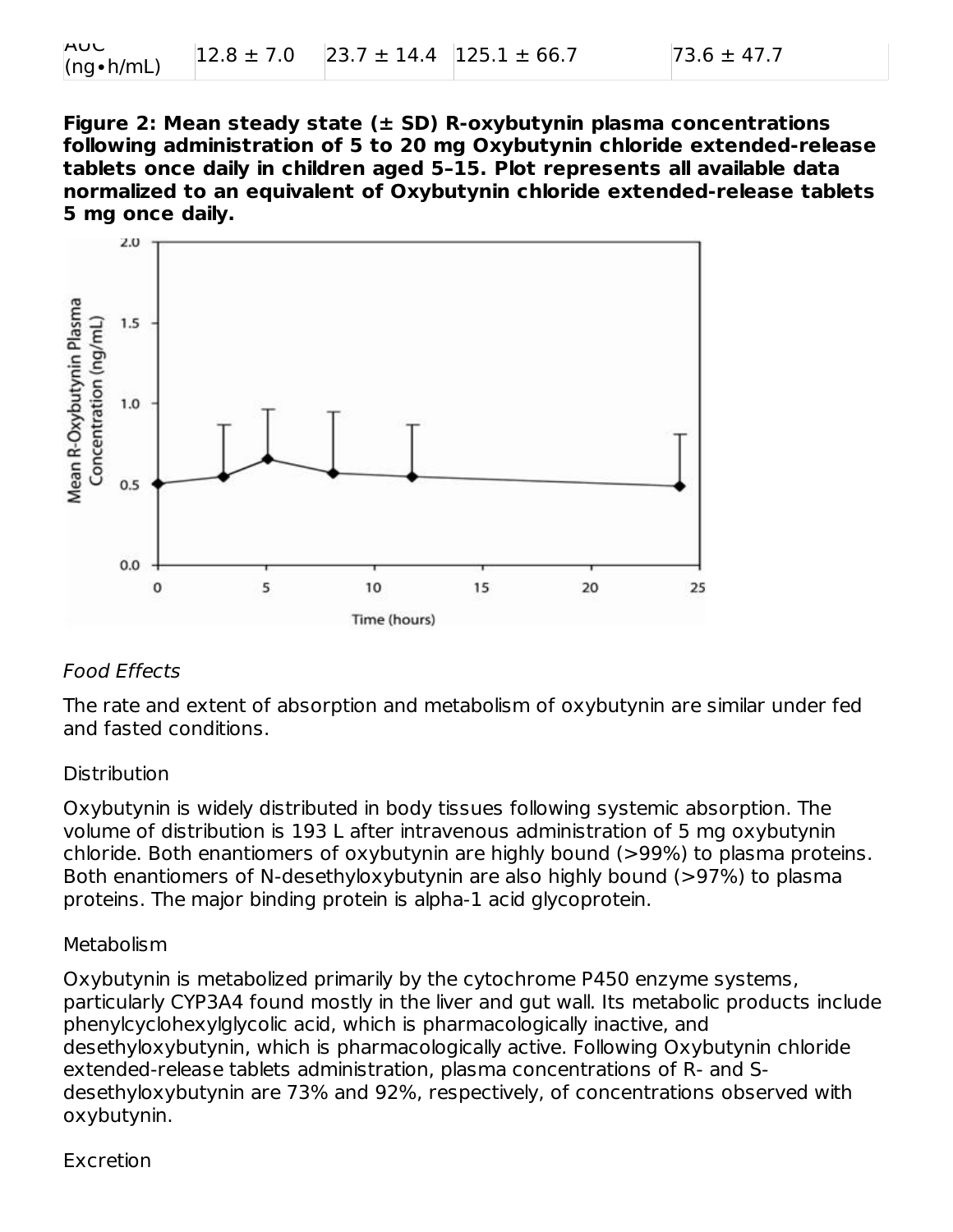**Figure 2: Mean steady state (± SD) R-oxybutynin plasma concentrations following administration of 5 to 20 mg Oxybutynin chloride extended-release tablets once daily in children aged 5–15. Plot represents all available data normalized to an equivalent of Oxybutynin chloride extended-release tablets 5 mg once daily.**



#### Food Effects

The rate and extent of absorption and metabolism of oxybutynin are similar under fed and fasted conditions.

#### **Distribution**

Oxybutynin is widely distributed in body tissues following systemic absorption. The volume of distribution is 193 L after intravenous administration of 5 mg oxybutynin chloride. Both enantiomers of oxybutynin are highly bound (>99%) to plasma proteins. Both enantiomers of N-desethyloxybutynin are also highly bound (>97%) to plasma proteins. The major binding protein is alpha-1 acid glycoprotein.

#### Metabolism

Oxybutynin is metabolized primarily by the cytochrome P450 enzyme systems, particularly CYP3A4 found mostly in the liver and gut wall. Its metabolic products include phenylcyclohexylglycolic acid, which is pharmacologically inactive, and desethyloxybutynin, which is pharmacologically active. Following Oxybutynin chloride extended-release tablets administration, plasma concentrations of R- and Sdesethyloxybutynin are 73% and 92%, respectively, of concentrations observed with oxybutynin.

#### Excretion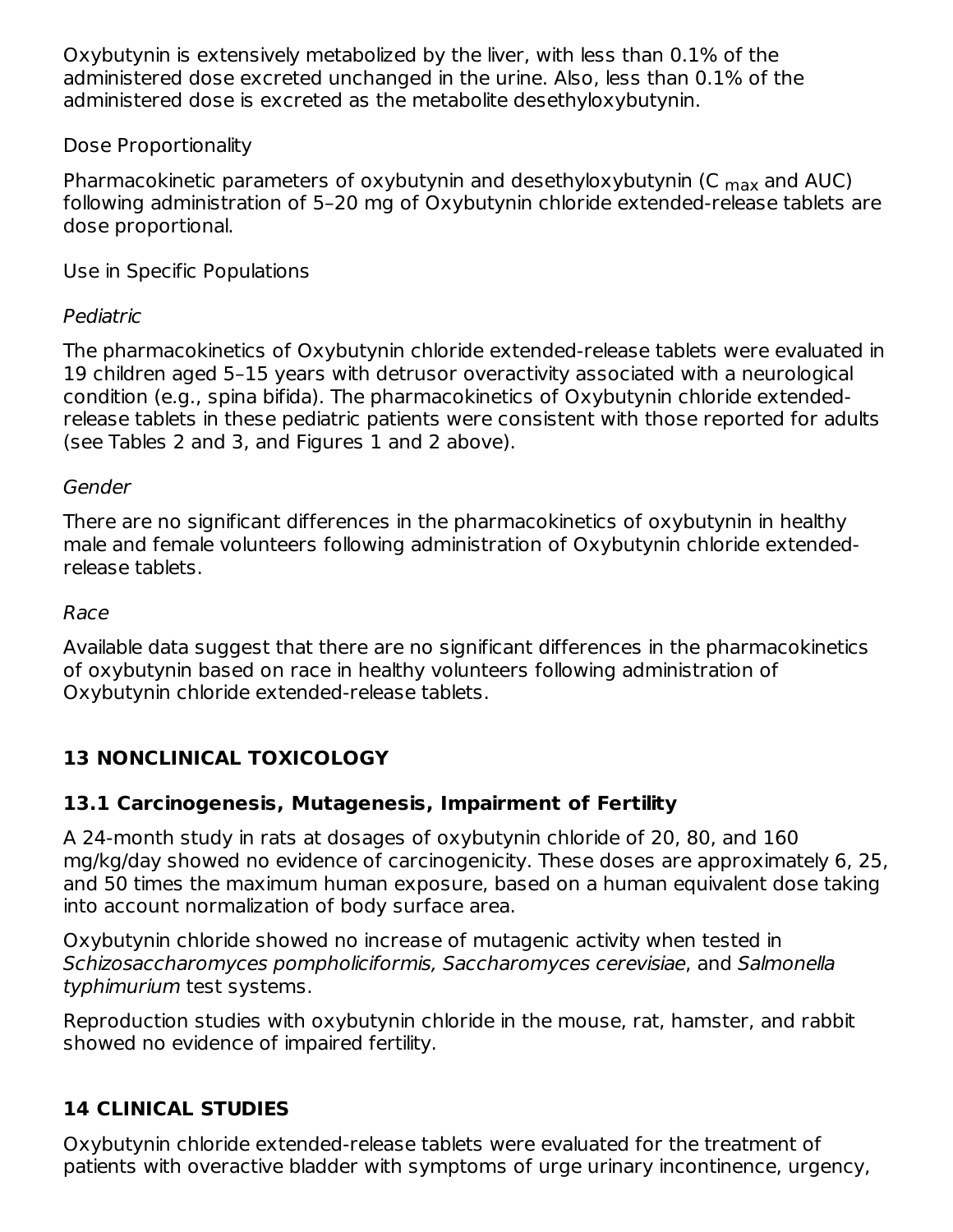Oxybutynin is extensively metabolized by the liver, with less than 0.1% of the administered dose excreted unchanged in the urine. Also, less than 0.1% of the administered dose is excreted as the metabolite desethyloxybutynin.

### Dose Proportionality

Pharmacokinetic parameters of oxybutynin and desethyloxybutynin (C <sub>max</sub> and AUC) following administration of 5–20 mg of Oxybutynin chloride extended-release tablets are dose proportional.

Use in Specific Populations

### Pediatric

The pharmacokinetics of Oxybutynin chloride extended-release tablets were evaluated in 19 children aged 5–15 years with detrusor overactivity associated with a neurological condition (e.g., spina bifida). The pharmacokinetics of Oxybutynin chloride extendedrelease tablets in these pediatric patients were consistent with those reported for adults (see Tables 2 and 3, and Figures 1 and 2 above).

#### Gender

There are no significant differences in the pharmacokinetics of oxybutynin in healthy male and female volunteers following administration of Oxybutynin chloride extendedrelease tablets.

#### Race

Available data suggest that there are no significant differences in the pharmacokinetics of oxybutynin based on race in healthy volunteers following administration of Oxybutynin chloride extended-release tablets.

## **13 NONCLINICAL TOXICOLOGY**

### **13.1 Carcinogenesis, Mutagenesis, Impairment of Fertility**

A 24-month study in rats at dosages of oxybutynin chloride of 20, 80, and 160 mg/kg/day showed no evidence of carcinogenicity. These doses are approximately 6, 25, and 50 times the maximum human exposure, based on a human equivalent dose taking into account normalization of body surface area.

Oxybutynin chloride showed no increase of mutagenic activity when tested in Schizosaccharomyces pompholiciformis, Saccharomyces cerevisiae, and Salmonella typhimurium test systems.

Reproduction studies with oxybutynin chloride in the mouse, rat, hamster, and rabbit showed no evidence of impaired fertility.

### **14 CLINICAL STUDIES**

Oxybutynin chloride extended-release tablets were evaluated for the treatment of patients with overactive bladder with symptoms of urge urinary incontinence, urgency,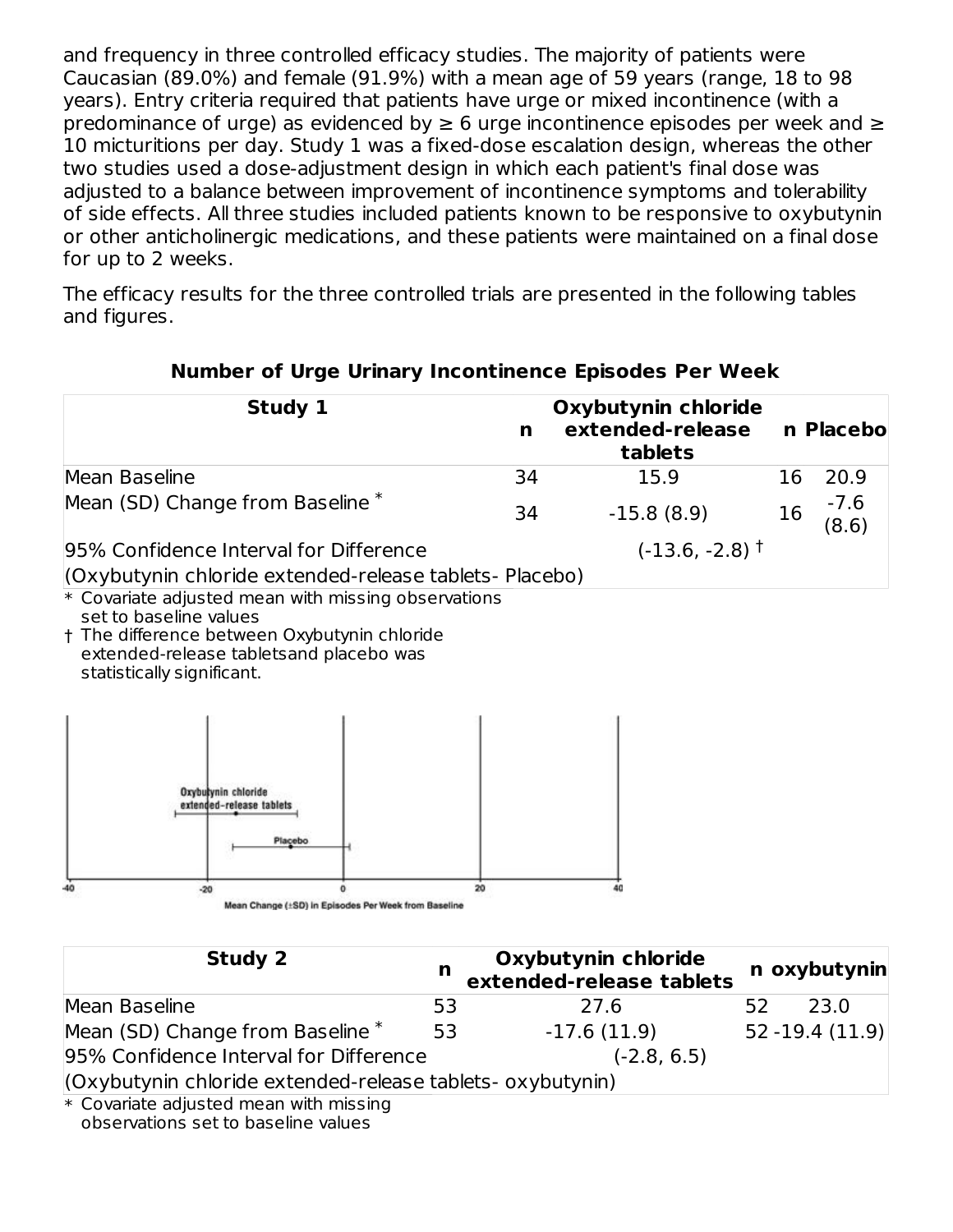and frequency in three controlled efficacy studies. The majority of patients were Caucasian (89.0%) and female (91.9%) with a mean age of 59 years (range, 18 to 98 years). Entry criteria required that patients have urge or mixed incontinence (with a predominance of urge) as evidenced by  $\geq 6$  urge incontinence episodes per week and  $\geq$ 10 micturitions per day. Study 1 was a fixed-dose escalation design, whereas the other two studies used a dose-adjustment design in which each patient's final dose was adjusted to a balance between improvement of incontinence symptoms and tolerability of side effects. All three studies included patients known to be responsive to oxybutynin or other anticholinergic medications, and these patients were maintained on a final dose for up to 2 weeks.

The efficacy results for the three controlled trials are presented in the following tables and figures.

| Study 1                                                 |    | Oxybutynin chloride<br>extended-release<br>n Placebo<br>n<br>tablets |     |                 |
|---------------------------------------------------------|----|----------------------------------------------------------------------|-----|-----------------|
| Mean Baseline                                           | 34 | 15.9                                                                 | 16. | 20.9            |
| Mean (SD) Change from Baseline <sup>*</sup>             | 34 | $-15.8(8.9)$                                                         | 16  | $-7.6$<br>(8.6) |
| 95% Confidence Interval for Difference                  |    | $(-13.6, -2.8)$ <sup>†</sup>                                         |     |                 |
| (Oxybutynin chloride extended-release tablets- Placebo) |    |                                                                      |     |                 |

#### **Number of Urge Urinary Incontinence Episodes Per Week**

 $\ast$  Covariate adjusted mean with missing observations set to baseline values

† The difference between Oxybutynin chloride extended-release tabletsand placebo was statistically significant.



| Study 2                                                    | n  | Oxybutynin chloride<br>extended-release tablets |    | n oxybutynin      |
|------------------------------------------------------------|----|-------------------------------------------------|----|-------------------|
| Mean Baseline                                              | 53 | 27.6                                            | 52 | 23.0              |
| Mean (SD) Change from Baseline *                           | 53 | $-17.6(11.9)$                                   |    | $52 - 19.4(11.9)$ |
| 95% Confidence Interval for Difference                     |    | $(-2.8, 6.5)$                                   |    |                   |
| (Oxybutynin chloride extended-release tablets- oxybutynin) |    |                                                 |    |                   |
| ski Osmanlada saaliitada oli saasin tullula malaalinn      |    |                                                 |    |                   |

\* Covariate adjusted mean with missing observations set to baseline values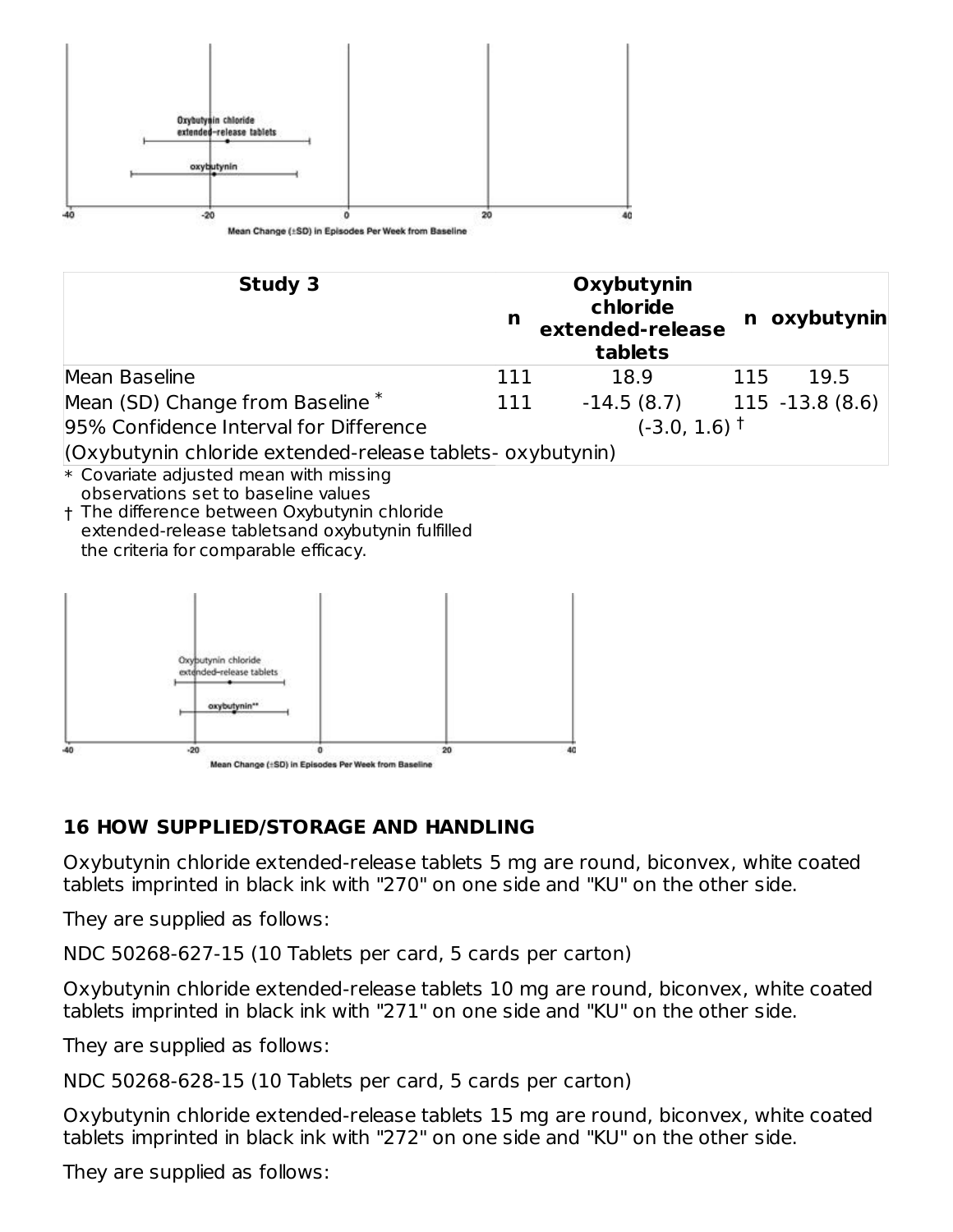

| Study 3                                                    | n   | Oxybutynin<br>chloride<br>extended-release<br>tablets |     | n oxybutynin    |
|------------------------------------------------------------|-----|-------------------------------------------------------|-----|-----------------|
| Mean Baseline                                              | 111 | 18.9                                                  | 115 | 19.5            |
| Mean (SD) Change from Baseline <sup>*</sup>                | 111 | $-14.5(8.7)$                                          |     | 115 -13.8 (8.6) |
| 95% Confidence Interval for Difference                     |     | $(-3.0, 1.6)$ <sup>+</sup>                            |     |                 |
| (Oxybutynin chloride extended-release tablets- oxybutynin) |     |                                                       |     |                 |

- \* Covariate adjusted mean with missing observations set to baseline values
- † The difference between Oxybutynin chloride extended-release tabletsand oxybutynin fulfilled the criteria for comparable efficacy.



### **16 HOW SUPPLIED/STORAGE AND HANDLING**

Oxybutynin chloride extended-release tablets 5 mg are round, biconvex, white coated tablets imprinted in black ink with "270" on one side and "KU" on the other side.

They are supplied as follows:

NDC 50268-627-15 (10 Tablets per card, 5 cards per carton)

Oxybutynin chloride extended-release tablets 10 mg are round, biconvex, white coated tablets imprinted in black ink with "271" on one side and "KU" on the other side.

They are supplied as follows:

NDC 50268-628-15 (10 Tablets per card, 5 cards per carton)

Oxybutynin chloride extended-release tablets 15 mg are round, biconvex, white coated tablets imprinted in black ink with "272" on one side and "KU" on the other side.

They are supplied as follows: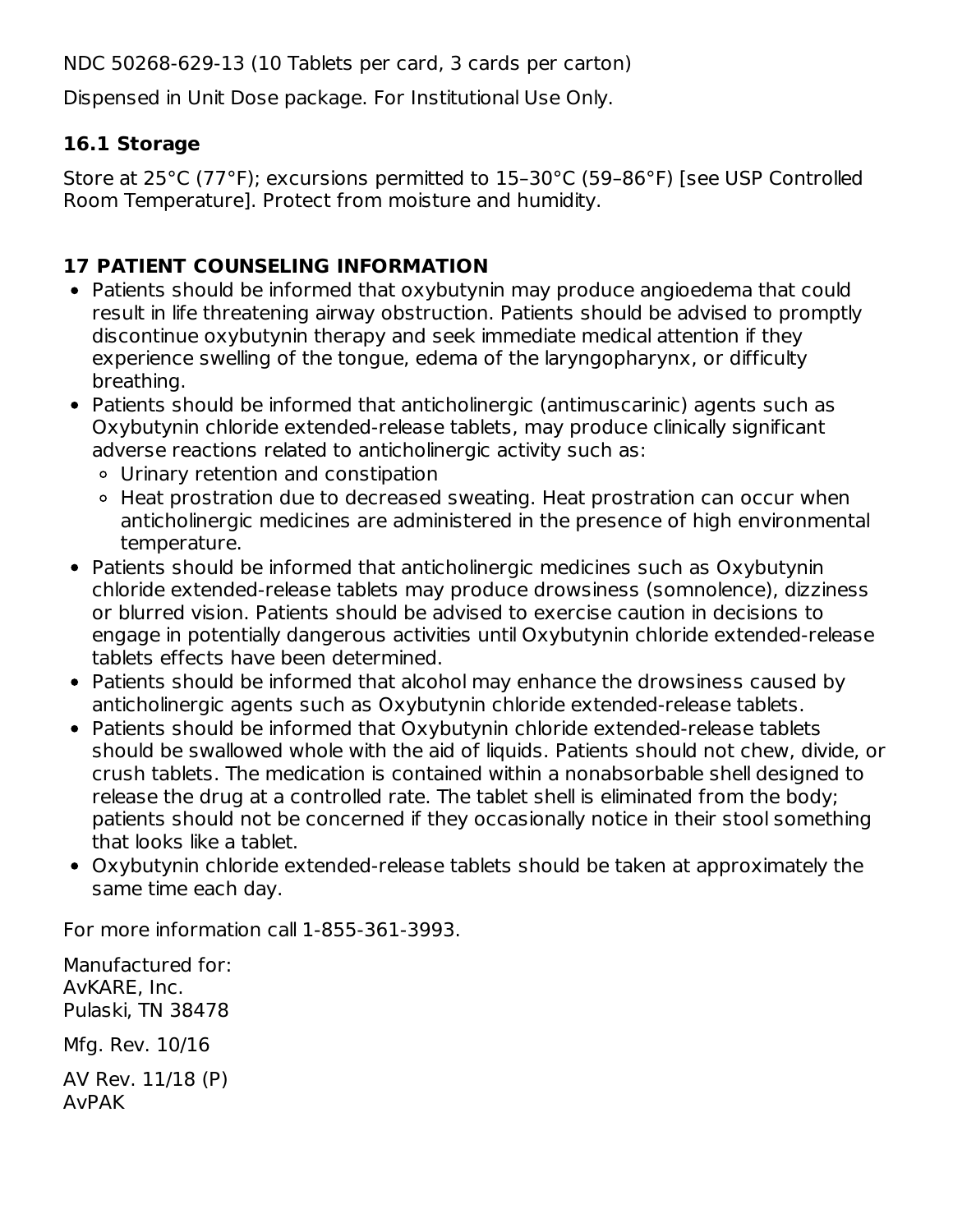NDC 50268-629-13 (10 Tablets per card, 3 cards per carton)

Dispensed in Unit Dose package. For Institutional Use Only.

## **16.1 Storage**

Store at 25°C (77°F); excursions permitted to 15–30°C (59–86°F) [see USP Controlled Room Temperature]. Protect from moisture and humidity.

## **17 PATIENT COUNSELING INFORMATION**

- Patients should be informed that oxybutynin may produce angioedema that could result in life threatening airway obstruction. Patients should be advised to promptly discontinue oxybutynin therapy and seek immediate medical attention if they experience swelling of the tongue, edema of the laryngopharynx, or difficulty breathing.
- Patients should be informed that anticholinergic (antimuscarinic) agents such as Oxybutynin chloride extended-release tablets, may produce clinically significant adverse reactions related to anticholinergic activity such as:
	- Urinary retention and constipation
	- Heat prostration due to decreased sweating. Heat prostration can occur when anticholinergic medicines are administered in the presence of high environmental temperature.
- Patients should be informed that anticholinergic medicines such as Oxybutynin chloride extended-release tablets may produce drowsiness (somnolence), dizziness or blurred vision. Patients should be advised to exercise caution in decisions to engage in potentially dangerous activities until Oxybutynin chloride extended-release tablets effects have been determined.
- Patients should be informed that alcohol may enhance the drowsiness caused by anticholinergic agents such as Oxybutynin chloride extended-release tablets.
- Patients should be informed that Oxybutynin chloride extended-release tablets should be swallowed whole with the aid of liquids. Patients should not chew, divide, or crush tablets. The medication is contained within a nonabsorbable shell designed to release the drug at a controlled rate. The tablet shell is eliminated from the body; patients should not be concerned if they occasionally notice in their stool something that looks like a tablet.
- Oxybutynin chloride extended-release tablets should be taken at approximately the same time each day.

For more information call 1-855-361-3993.

Manufactured for: AvKARE, Inc. Pulaski, TN 38478 Mfg. Rev. 10/16 AV Rev. 11/18 (P) AvPAK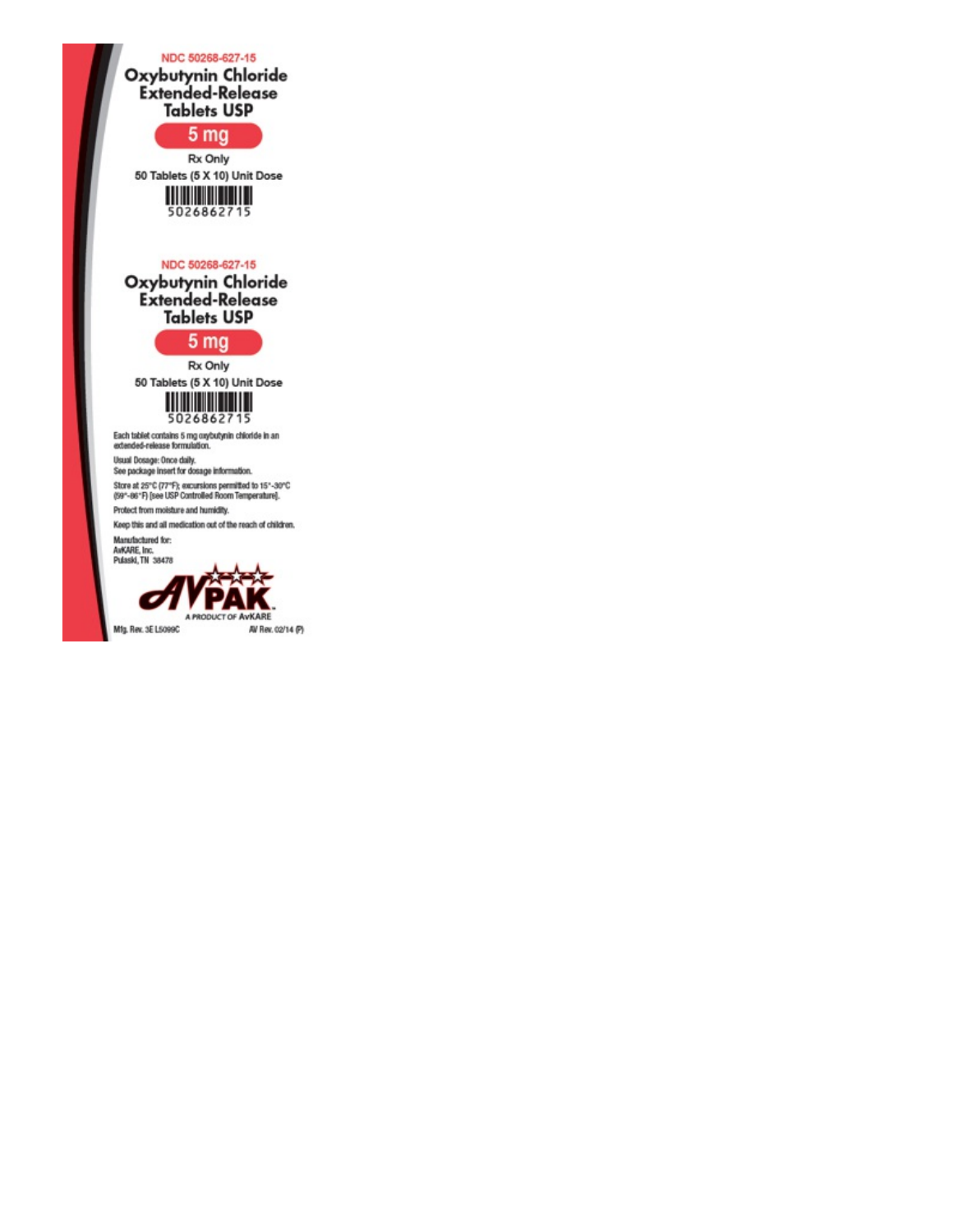NDC 50268-627-15 Oxybutynin Chloride<br>Extended-Release **Tablets USP**  $5<sub>mg</sub>$ Rx Only 50 Tablets (5 X 10) Unit Dose 5026862715 NDC 50268-627-15 Oxybutynin Chloride<br>Extended-Release **Tablets USP**  $5<sub>mg</sub>$ Rx Only 50 Tablets (5 X 10) Unit Dose 5026862715 Each tablet contains 5 mg oxybutynin chloride in an<br>extended-release formulation. Usual Dosage: Once daily. See package insert for dosage information. Store at 25°C (77°F); excursions permitted to 15°-30°C<br>(59°-66°F) [see USP Controlled Room Temperature].

Protect from moisture and humidity. Keep this and all medication out of the reach of children.

Manufactured for:<br>AvKARE, Inc.<br>Pulaski, TN 38478

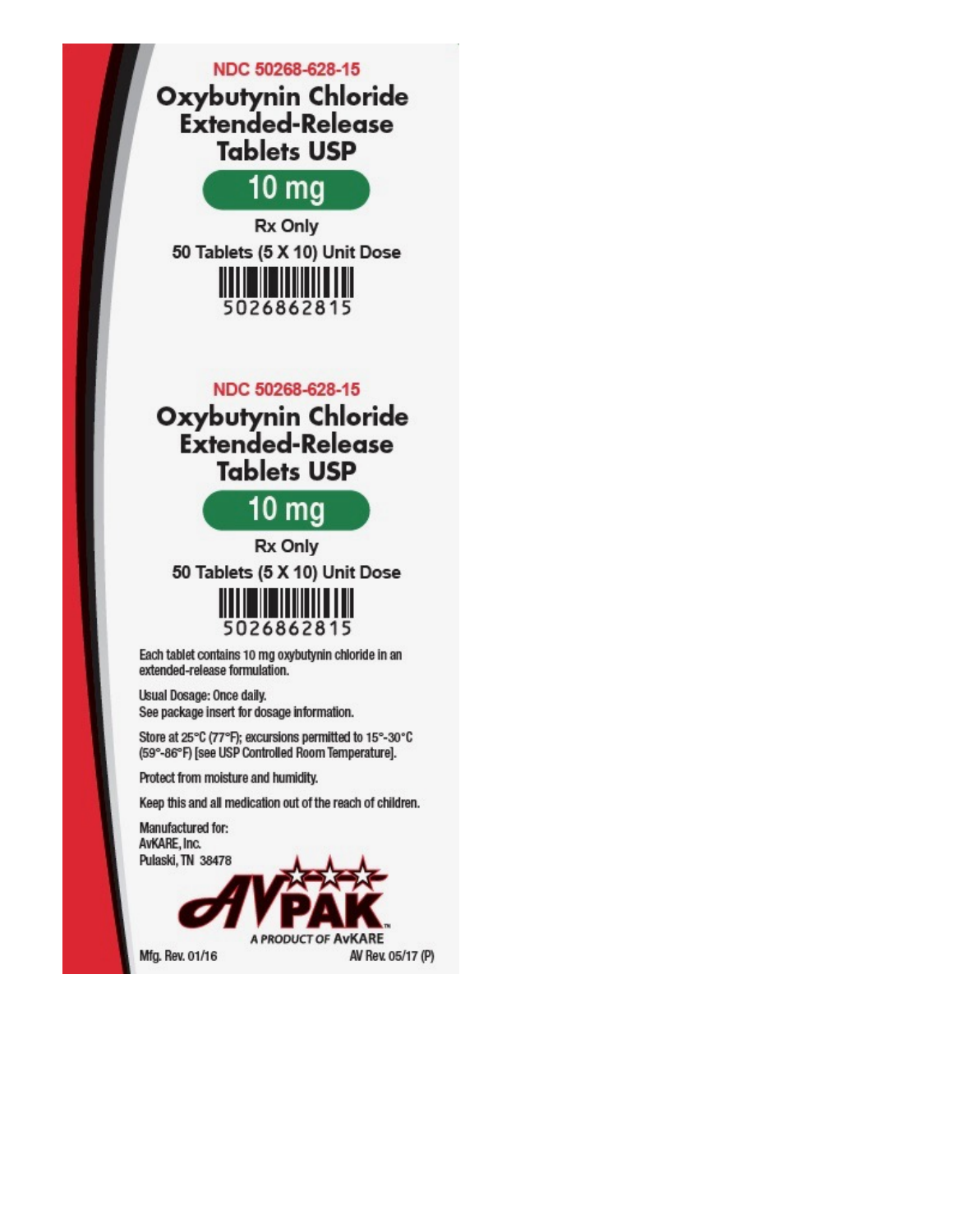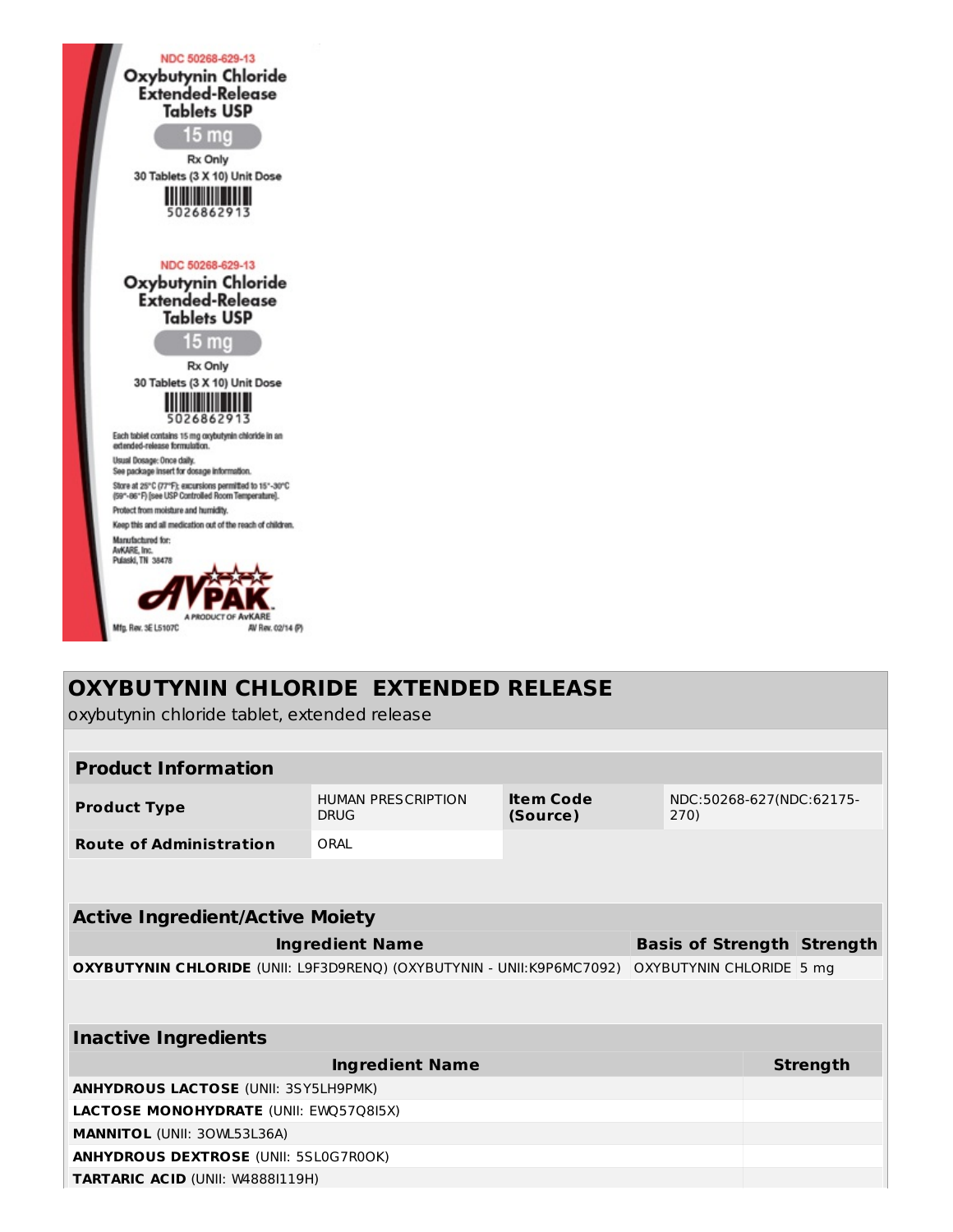

## **OXYBUTYNIN CHLORIDE EXTENDED RELEASE**

oxybutynin chloride tablet, extended release

| <b>Product Information</b>                                            |                                          |                                      |  |                            |                          |                                   |
|-----------------------------------------------------------------------|------------------------------------------|--------------------------------------|--|----------------------------|--------------------------|-----------------------------------|
| <b>Product Type</b>                                                   | <b>HUMAN PRESCRIPTION</b><br><b>DRUG</b> | <b>Item Code</b><br>270)<br>(Source) |  |                            | NDC:50268-627(NDC:62175- |                                   |
| <b>Route of Administration</b>                                        | ORAI                                     |                                      |  |                            |                          |                                   |
|                                                                       |                                          |                                      |  |                            |                          |                                   |
| <b>Active Ingredient/Active Moiety</b>                                |                                          |                                      |  |                            |                          |                                   |
|                                                                       | <b>Ingredient Name</b>                   |                                      |  |                            |                          | <b>Basis of Strength Strength</b> |
| OXYBUTYNIN CHLORIDE (UNII: L9F3D9RENQ) (OXYBUTYNIN - UNII:K9P6MC7092) |                                          |                                      |  | OXYBUTYNIN CHLORIDE   5 mg |                          |                                   |
|                                                                       |                                          |                                      |  |                            |                          |                                   |
| <b>Inactive Ingredients</b>                                           |                                          |                                      |  |                            |                          |                                   |
|                                                                       | <b>Ingredient Name</b>                   |                                      |  |                            |                          | <b>Strength</b>                   |
| <b>ANHYDROUS LACTOSE (UNII: 3SY5LH9PMK)</b>                           |                                          |                                      |  |                            |                          |                                   |
| LACTOSE MONOHYDRATE (UNII: EWQ57Q8I5X)                                |                                          |                                      |  |                            |                          |                                   |
| <b>MANNITOL (UNII: 30WL53L36A)</b>                                    |                                          |                                      |  |                            |                          |                                   |
| <b>ANHYDROUS DEXTROSE (UNII: 5SL0G7R0OK)</b>                          |                                          |                                      |  |                            |                          |                                   |
| <b>TARTARIC ACID (UNII: W48881119H)</b>                               |                                          |                                      |  |                            |                          |                                   |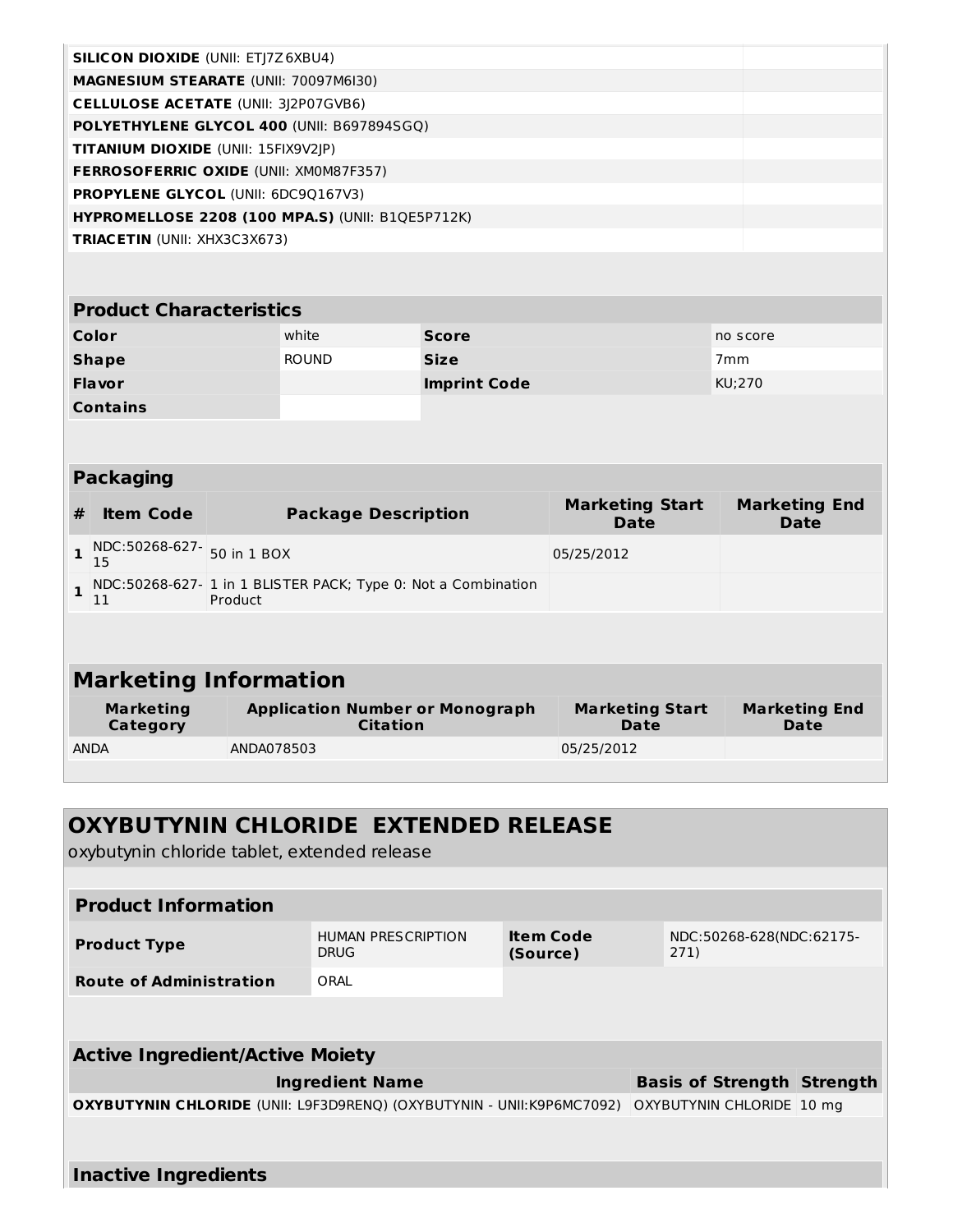| <b>SILICON DIOXIDE (UNII: ETJ7Z6XBU4)</b>               |  |
|---------------------------------------------------------|--|
| <b>MAGNESIUM STEARATE (UNII: 70097M6I30)</b>            |  |
| <b>CELLULOSE ACETATE (UNII: 3)2P07GVB6)</b>             |  |
| <b>POLYETHYLENE GLYCOL 400 (UNII: B697894SGQ)</b>       |  |
| <b>TITANIUM DIOXIDE</b> (UNII: 15FIX9V2JP)              |  |
| <b>FERROSOFERRIC OXIDE (UNII: XMOM87F357)</b>           |  |
| <b>PROPYLENE GLYCOL (UNII: 6DC90167V3)</b>              |  |
| <b>HYPROMELLOSE 2208 (100 MPA.S) (UNII: B10E5P712K)</b> |  |
| <b>TRIACETIN (UNII: XHX3C3X673)</b>                     |  |
|                                                         |  |

| <b>Product Characteristics</b> |              |                     |                 |  |  |  |  |
|--------------------------------|--------------|---------------------|-----------------|--|--|--|--|
| Color                          | white        | <b>Score</b>        | no score        |  |  |  |  |
| <b>Shape</b>                   | <b>ROUND</b> | <b>Size</b>         | 7 <sub>mm</sub> |  |  |  |  |
| <b>Flavor</b>                  |              | <b>Imprint Code</b> | KU;270          |  |  |  |  |
| <b>Contains</b>                |              |                     |                 |  |  |  |  |

#### **Packaging**

| #                                                                                       | <b>Item Code</b>                 | <b>Package Description</b>                                | <b>Marketing Start</b><br>Date | <b>Marketing End</b><br>Date |  |  |  |  |  |
|-----------------------------------------------------------------------------------------|----------------------------------|-----------------------------------------------------------|--------------------------------|------------------------------|--|--|--|--|--|
|                                                                                         | NDC:50268-627- 50 in 1 BOX<br>15 |                                                           | 05/25/2012                     |                              |  |  |  |  |  |
| NDC:50268-627-1 in 1 BLISTER PACK; Type 0: Not a Combination<br>Product<br>$\mathbf{I}$ |                                  |                                                           |                                |                              |  |  |  |  |  |
|                                                                                         |                                  |                                                           |                                |                              |  |  |  |  |  |
| <b>Marketing Information</b>                                                            |                                  |                                                           |                                |                              |  |  |  |  |  |
| <b>Marketing</b><br>Category                                                            |                                  | <b>Application Number or Monograph</b><br><b>Citation</b> | <b>Marketing Start</b><br>Date | <b>Marketing End</b><br>Date |  |  |  |  |  |

ANDA ANDA078503 05/25/2012

| <b>OXYBUTYNIN CHLORIDE EXTENDED RELEASE</b><br>oxybutynin chloride tablet, extended release                                         |      |                           |  |  |  |  |  |  |  |
|-------------------------------------------------------------------------------------------------------------------------------------|------|---------------------------|--|--|--|--|--|--|--|
|                                                                                                                                     |      |                           |  |  |  |  |  |  |  |
| <b>Product Information</b>                                                                                                          |      |                           |  |  |  |  |  |  |  |
| <b>Item Code</b><br><b>HUMAN PRESCRIPTION</b><br>NDC:50268-628(NDC:62175-<br><b>Product Type</b><br><b>DRUG</b><br>(Source)<br>271) |      |                           |  |  |  |  |  |  |  |
| <b>Route of Administration</b>                                                                                                      | ORAL |                           |  |  |  |  |  |  |  |
|                                                                                                                                     |      |                           |  |  |  |  |  |  |  |
| <b>Active Ingredient/Active Moiety</b>                                                                                              |      |                           |  |  |  |  |  |  |  |
| <b>Ingredient Name</b><br><b>Basis of Strength Strength</b>                                                                         |      |                           |  |  |  |  |  |  |  |
| <b>OXYBUTYNIN CHLORIDE</b> (UNII: L9F3D9RENQ) (OXYBUTYNIN - UNII:K9P6MC7092)                                                        |      | OXYBUTYNIN CHLORIDE 10 mg |  |  |  |  |  |  |  |
|                                                                                                                                     |      |                           |  |  |  |  |  |  |  |
| <b>Inactive Ingredients</b>                                                                                                         |      |                           |  |  |  |  |  |  |  |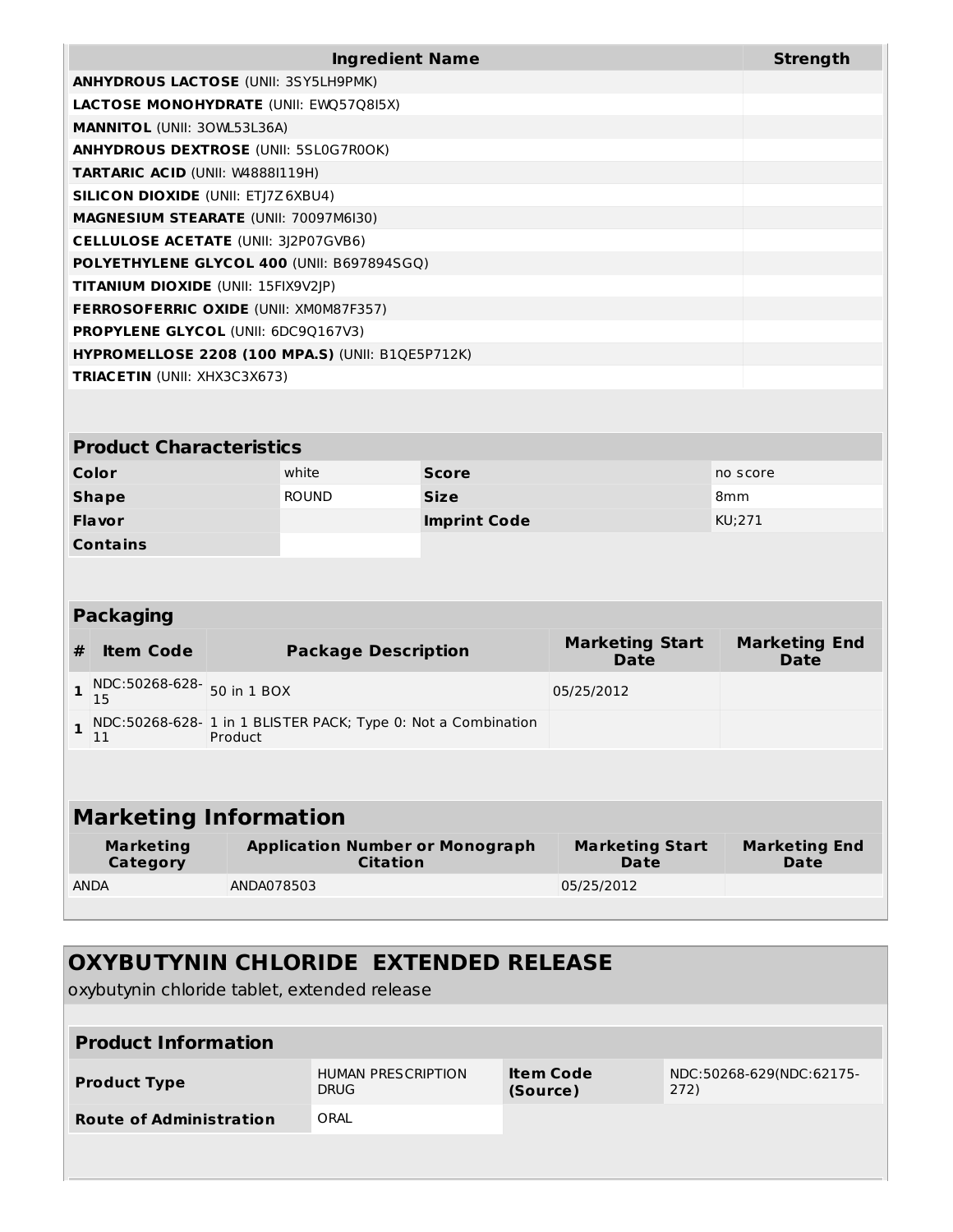| <b>Ingredient Name</b>                                  | <b>Strength</b> |
|---------------------------------------------------------|-----------------|
| <b>ANHYDROUS LACTOSE (UNII: 3SY5LH9PMK)</b>             |                 |
| <b>LACTOSE MONOHYDRATE (UNII: EWO5708I5X)</b>           |                 |
| <b>MANNITOL</b> (UNII: 30WL53L36A)                      |                 |
| <b>ANHYDROUS DEXTROSE (UNII: 5SL0G7R0OK)</b>            |                 |
| <b>TARTARIC ACID (UNII: W48881119H)</b>                 |                 |
| <b>SILICON DIOXIDE (UNII: ETJ7Z6XBU4)</b>               |                 |
| <b>MAGNESIUM STEARATE (UNII: 70097M6I30)</b>            |                 |
| <b>CELLULOSE ACETATE (UNII: 3)2P07GVB6)</b>             |                 |
| <b>POLYETHYLENE GLYCOL 400 (UNII: B697894SGQ)</b>       |                 |
| <b>TITANIUM DIOXIDE (UNII: 15FIX9V2JP)</b>              |                 |
| <b>FERROSOFERRIC OXIDE (UNII: XMOM87F357)</b>           |                 |
| <b>PROPYLENE GLYCOL (UNII: 6DC90167V3)</b>              |                 |
| <b>HYPROMELLOSE 2208 (100 MPA.S) (UNII: B10E5P712K)</b> |                 |
| <b>TRIACETIN</b> (UNII: XHX3C3X673)                     |                 |

### **Product Characteristics**

| Color           | white        | <b>Score</b>        | no score        |
|-----------------|--------------|---------------------|-----------------|
| <b>Shape</b>    | <b>ROUND</b> | <b>Size</b>         | 8 <sub>mm</sub> |
| <b>Flavor</b>   |              | <b>Imprint Code</b> | KU;271          |
| <b>Contains</b> |              |                     |                 |

#### **Packaging**

| #                            | <b>Item Code</b>             | <b>Package Description</b>                                               | <b>Marketing Start</b><br><b>Date</b> | <b>Marketing End</b><br>Date |  |  |  |
|------------------------------|------------------------------|--------------------------------------------------------------------------|---------------------------------------|------------------------------|--|--|--|
|                              | NDC:50268-628-<br>15         | 50 in 1 BOX                                                              | 05/25/2012                            |                              |  |  |  |
|                              | 11                           | NDC:50268-628- 1 in 1 BLISTER PACK; Type 0: Not a Combination<br>Product |                                       |                              |  |  |  |
|                              |                              |                                                                          |                                       |                              |  |  |  |
| <b>Marketing Information</b> |                              |                                                                          |                                       |                              |  |  |  |
|                              | <b>Marketing</b><br>Category | <b>Application Number or Monograph</b><br><b>Citation</b>                | <b>Marketing Start</b><br>Date        | <b>Marketing End</b><br>Date |  |  |  |
|                              | <b>ANDA</b>                  | ANDA078503                                                               | 05/25/2012                            |                              |  |  |  |

## **OXYBUTYNIN CHLORIDE EXTENDED RELEASE**

oxybutynin chloride tablet, extended release

| <b>Product Information</b>     |                                          |                       |                                  |  |  |  |
|--------------------------------|------------------------------------------|-----------------------|----------------------------------|--|--|--|
| <b>Product Type</b>            | <b>HUMAN PRESCRIPTION</b><br><b>DRUG</b> | Item Code<br>(Source) | NDC:50268-629(NDC:62175-<br>272) |  |  |  |
| <b>Route of Administration</b> | ORAL                                     |                       |                                  |  |  |  |
|                                |                                          |                       |                                  |  |  |  |